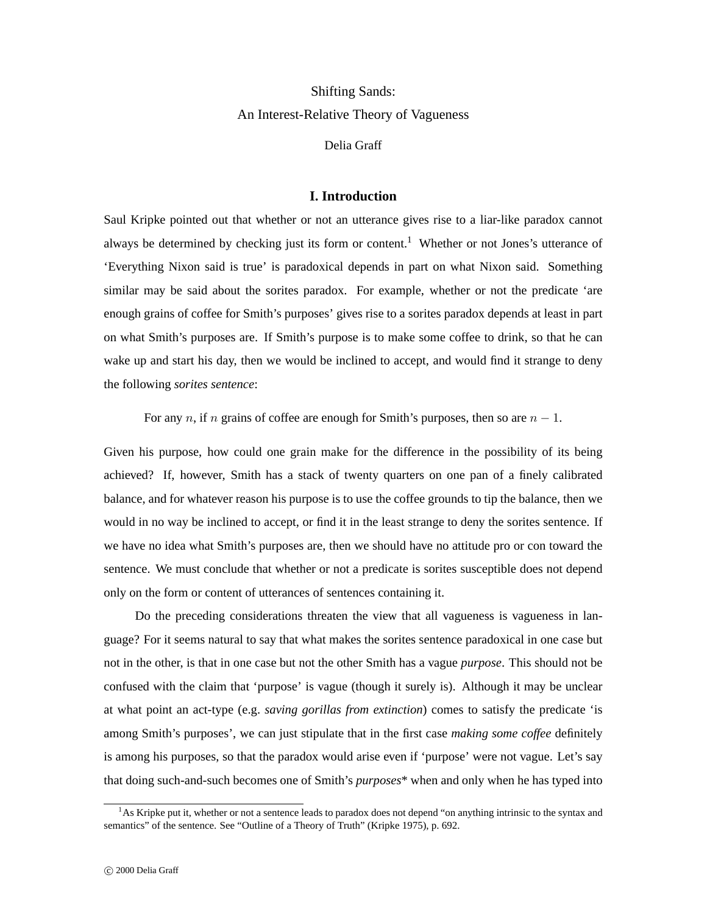# Shifting Sands: An Interest-Relative Theory of Vagueness

Delia Graff

# **I. Introduction**

Saul Kripke pointed out that whether or not an utterance gives rise to a liar-like paradox cannot always be determined by checking just its form or content.<sup>1</sup> Whether or not Jones's utterance of 'Everything Nixon said is true' is paradoxical depends in part on what Nixon said. Something similar may be said about the sorites paradox. For example, whether or not the predicate 'are enough grains of coffee for Smith's purposes' gives rise to a sorites paradox depends at least in part on what Smith's purposes are. If Smith's purpose is to make some coffee to drink, so that he can wake up and start his day, then we would be inclined to accept, and would find it strange to deny the following *sorites sentence*:

For any *n*, if *n* grains of coffee are enough for Smith's purposes, then so are  $n - 1$ .

Given his purpose, how could one grain make for the difference in the possibility of its being achieved? If, however, Smith has a stack of twenty quarters on one pan of a finely calibrated balance, and for whatever reason his purpose is to use the coffee grounds to tip the balance, then we would in no way be inclined to accept, or find it in the least strange to deny the sorites sentence. If we have no idea what Smith's purposes are, then we should have no attitude pro or con toward the sentence. We must conclude that whether or not a predicate is sorites susceptible does not depend only on the form or content of utterances of sentences containing it.

Do the preceding considerations threaten the view that all vagueness is vagueness in language? For it seems natural to say that what makes the sorites sentence paradoxical in one case but not in the other, is that in one case but not the other Smith has a vague *purpose*. This should not be confused with the claim that 'purpose' is vague (though it surely is). Although it may be unclear at what point an act-type (e.g. *saving gorillas from extinction*) comes to satisfy the predicate 'is among Smith's purposes', we can just stipulate that in the first case *making some coffee* definitely is among his purposes, so that the paradox would arise even if 'purpose' were not vague. Let's say that doing such-and-such becomes one of Smith's *purposes*\* when and only when he has typed into

<sup>&</sup>lt;sup>1</sup>As Kripke put it, whether or not a sentence leads to paradox does not depend "on anything intrinsic to the syntax and semantics" of the sentence. See "Outline of a Theory of Truth" (Kripke 1975), p. 692.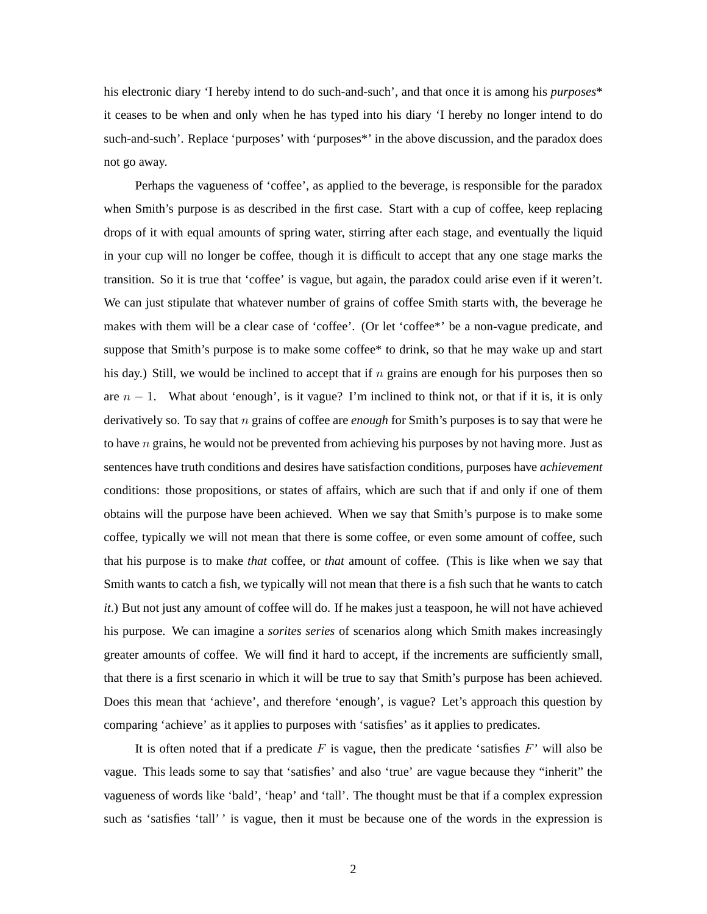his electronic diary 'I hereby intend to do such-and-such', and that once it is among his *purposes*\* it ceases to be when and only when he has typed into his diary 'I hereby no longer intend to do such-and-such'. Replace 'purposes' with 'purposes<sup>\*</sup>' in the above discussion, and the paradox does not go away.

Perhaps the vagueness of 'coffee', as applied to the beverage, is responsible for the paradox when Smith's purpose is as described in the first case. Start with a cup of coffee, keep replacing drops of it with equal amounts of spring water, stirring after each stage, and eventually the liquid in your cup will no longer be coffee, though it is difficult to accept that any one stage marks the transition. So it is true that 'coffee' is vague, but again, the paradox could arise even if it weren't. We can just stipulate that whatever number of grains of coffee Smith starts with, the beverage he makes with them will be a clear case of 'coffee'. (Or let 'coffee\*' be a non-vague predicate, and suppose that Smith's purpose is to make some coffee\* to drink, so that he may wake up and start his day.) Still, we would be inclined to accept that if n grains are enough for his purposes then so are  $n - 1$ . What about 'enough', is it vague? I'm inclined to think not, or that if it is, it is only derivatively so. To say that n grains of coffee are *enough* for Smith's purposes is to say that were he to have  $n$  grains, he would not be prevented from achieving his purposes by not having more. Just as sentences have truth conditions and desires have satisfaction conditions, purposes have *achievement* conditions: those propositions, or states of affairs, which are such that if and only if one of them obtains will the purpose have been achieved. When we say that Smith's purpose is to make some coffee, typically we will not mean that there is some coffee, or even some amount of coffee, such that his purpose is to make *that* coffee, or *that* amount of coffee. (This is like when we say that Smith wants to catch a fish, we typically will not mean that there is a fish such that he wants to catch *it*.) But not just any amount of coffee will do. If he makes just a teaspoon, he will not have achieved his purpose. We can imagine a *sorites series* of scenarios along which Smith makes increasingly greater amounts of coffee. We will find it hard to accept, if the increments are sufficiently small, that there is a first scenario in which it will be true to say that Smith's purpose has been achieved. Does this mean that 'achieve', and therefore 'enough', is vague? Let's approach this question by comparing 'achieve' as it applies to purposes with 'satisfies' as it applies to predicates.

It is often noted that if a predicate  $F$  is vague, then the predicate 'satisfies  $F'$ ' will also be vague. This leads some to say that 'satisfies' and also 'true' are vague because they "inherit" the vagueness of words like 'bald', 'heap' and 'tall'. The thought must be that if a complex expression such as 'satisfies 'tall' ' is vague, then it must be because one of the words in the expression is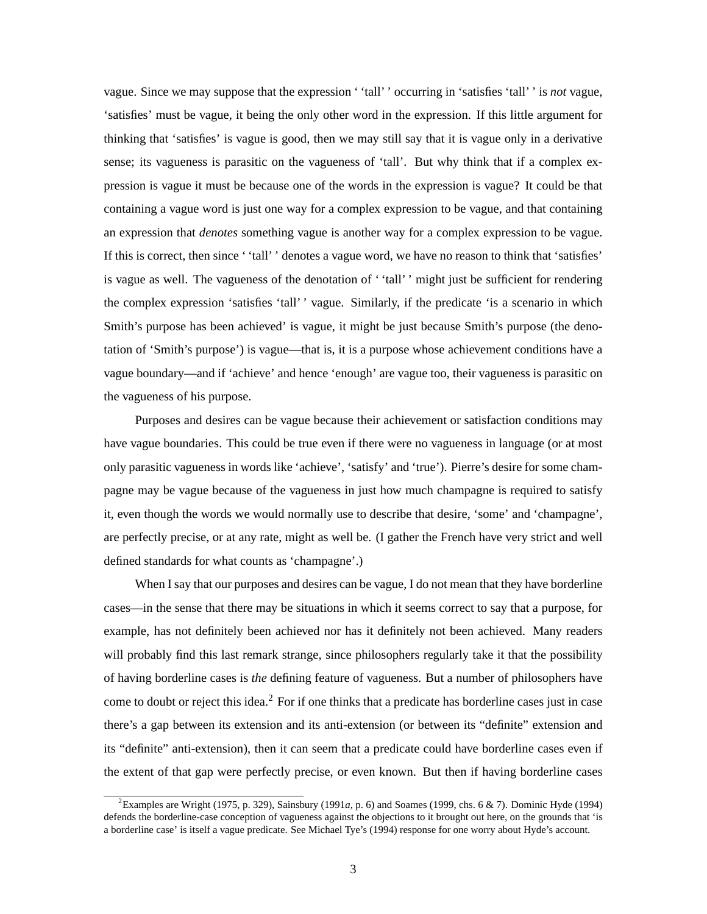vague. Since we may suppose that the expression ' 'tall' ' occurring in 'satisfies 'tall' ' is *not* vague, 'satisfies' must be vague, it being the only other word in the expression. If this little argument for thinking that 'satisfies' is vague is good, then we may still say that it is vague only in a derivative sense; its vagueness is parasitic on the vagueness of 'tall'. But why think that if a complex expression is vague it must be because one of the words in the expression is vague? It could be that containing a vague word is just one way for a complex expression to be vague, and that containing an expression that *denotes* something vague is another way for a complex expression to be vague. If this is correct, then since ' 'tall' ' denotes a vague word, we have no reason to think that 'satisfies' is vague as well. The vagueness of the denotation of ' 'tall' ' might just be sufficient for rendering the complex expression 'satisfies 'tall' ' vague. Similarly, if the predicate 'is a scenario in which Smith's purpose has been achieved' is vague, it might be just because Smith's purpose (the denotation of 'Smith's purpose') is vague—that is, it is a purpose whose achievement conditions have a vague boundary—and if 'achieve' and hence 'enough' are vague too, their vagueness is parasitic on the vagueness of his purpose.

Purposes and desires can be vague because their achievement or satisfaction conditions may have vague boundaries. This could be true even if there were no vagueness in language (or at most only parasitic vagueness in words like 'achieve', 'satisfy' and 'true'). Pierre's desire for some champagne may be vague because of the vagueness in just how much champagne is required to satisfy it, even though the words we would normally use to describe that desire, 'some' and 'champagne', are perfectly precise, or at any rate, might as well be. (I gather the French have very strict and well defined standards for what counts as 'champagne'.)

When I say that our purposes and desires can be vague, I do not mean that they have borderline cases—in the sense that there may be situations in which it seems correct to say that a purpose, for example, has not definitely been achieved nor has it definitely not been achieved. Many readers will probably find this last remark strange, since philosophers regularly take it that the possibility of having borderline cases is *the* defining feature of vagueness. But a number of philosophers have come to doubt or reject this idea.<sup>2</sup> For if one thinks that a predicate has borderline cases just in case there's a gap between its extension and its anti-extension (or between its "definite" extension and its "definite" anti-extension), then it can seem that a predicate could have borderline cases even if the extent of that gap were perfectly precise, or even known. But then if having borderline cases

<sup>2</sup> Examples are Wright (1975, p. 329), Sainsbury (1991*a*, p. 6) and Soames (1999, chs. 6 & 7). Dominic Hyde (1994) defends the borderline-case conception of vagueness against the objections to it brought out here, on the grounds that 'is a borderline case' is itself a vague predicate. See Michael Tye's (1994) response for one worry about Hyde's account.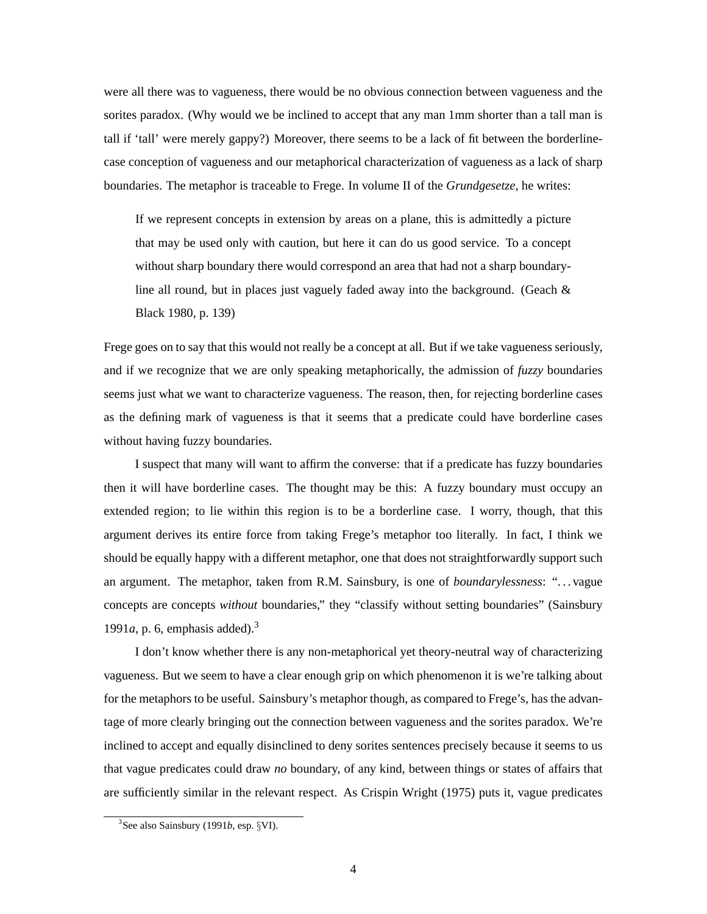were all there was to vagueness, there would be no obvious connection between vagueness and the sorites paradox. (Why would we be inclined to accept that any man 1mm shorter than a tall man is tall if 'tall' were merely gappy?) Moreover, there seems to be a lack of fit between the borderlinecase conception of vagueness and our metaphorical characterization of vagueness as a lack of sharp boundaries. The metaphor is traceable to Frege. In volume II of the *Grundgesetze*, he writes:

If we represent concepts in extension by areas on a plane, this is admittedly a picture that may be used only with caution, but here it can do us good service. To a concept without sharp boundary there would correspond an area that had not a sharp boundaryline all round, but in places just vaguely faded away into the background. (Geach  $\&$ Black 1980, p. 139)

Frege goes on to say that this would not really be a concept at all. But if we take vagueness seriously, and if we recognize that we are only speaking metaphorically, the admission of *fuzzy* boundaries seems just what we want to characterize vagueness. The reason, then, for rejecting borderline cases as the defining mark of vagueness is that it seems that a predicate could have borderline cases without having fuzzy boundaries.

I suspect that many will want to affirm the converse: that if a predicate has fuzzy boundaries then it will have borderline cases. The thought may be this: A fuzzy boundary must occupy an extended region; to lie within this region is to be a borderline case. I worry, though, that this argument derives its entire force from taking Frege's metaphor too literally. In fact, I think we should be equally happy with a different metaphor, one that does not straightforwardly support such an argument. The metaphor, taken from R.M. Sainsbury, is one of *boundarylessness*: ". . . vague concepts are concepts *without* boundaries," they "classify without setting boundaries" (Sainsbury 1991*a*, p. 6, emphasis added).<sup>3</sup>

I don't know whether there is any non-metaphorical yet theory-neutral way of characterizing vagueness. But we seem to have a clear enough grip on which phenomenon it is we're talking about for the metaphors to be useful. Sainsbury's metaphor though, as compared to Frege's, has the advantage of more clearly bringing out the connection between vagueness and the sorites paradox. We're inclined to accept and equally disinclined to deny sorites sentences precisely because it seems to us that vague predicates could draw *no* boundary, of any kind, between things or states of affairs that are sufficiently similar in the relevant respect. As Crispin Wright (1975) puts it, vague predicates

<sup>&</sup>lt;sup>3</sup>See also Sainsbury (1991*b*, esp.  $\S$ VI).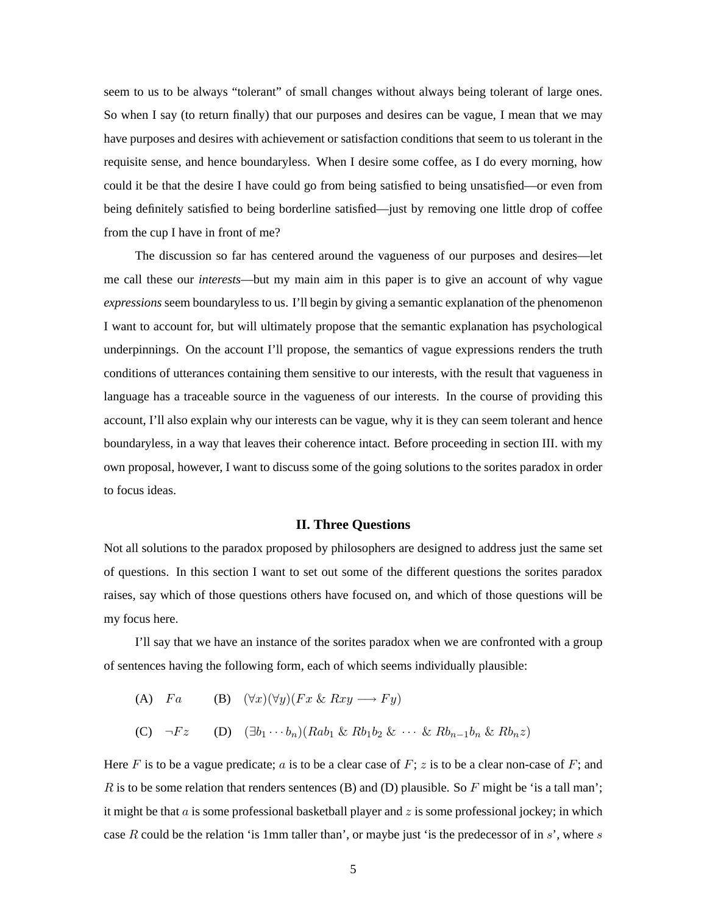seem to us to be always "tolerant" of small changes without always being tolerant of large ones. So when I say (to return finally) that our purposes and desires can be vague, I mean that we may have purposes and desires with achievement or satisfaction conditions that seem to us tolerant in the requisite sense, and hence boundaryless. When I desire some coffee, as I do every morning, how could it be that the desire I have could go from being satisfied to being unsatisfied—or even from being definitely satisfied to being borderline satisfied—just by removing one little drop of coffee from the cup I have in front of me?

The discussion so far has centered around the vagueness of our purposes and desires—let me call these our *interests*—but my main aim in this paper is to give an account of why vague *expressions* seem boundaryless to us. I'll begin by giving a semantic explanation of the phenomenon I want to account for, but will ultimately propose that the semantic explanation has psychological underpinnings. On the account I'll propose, the semantics of vague expressions renders the truth conditions of utterances containing them sensitive to our interests, with the result that vagueness in language has a traceable source in the vagueness of our interests. In the course of providing this account, I'll also explain why our interests can be vague, why it is they can seem tolerant and hence boundaryless, in a way that leaves their coherence intact. Before proceeding in section III. with my own proposal, however, I want to discuss some of the going solutions to the sorites paradox in order to focus ideas.

#### **II. Three Questions**

Not all solutions to the paradox proposed by philosophers are designed to address just the same set of questions. In this section I want to set out some of the different questions the sorites paradox raises, say which of those questions others have focused on, and which of those questions will be my focus here.

I'll say that we have an instance of the sorites paradox when we are confronted with a group of sentences having the following form, each of which seems individually plausible:

(A)  $Fa$  (B)  $(\forall x)(\forall y)(Fx\ \&\ Rxy \longrightarrow Fy)$ (C)  $\neg Fz$  (D)  $(∃b₁ ··· bₙ)(Rab₁ & Rb₁b₂ & ⋅·· & Rbₙ-₁bₙ & Rbₙz)$ 

Here F is to be a vague predicate; a is to be a clear case of F; z is to be a clear non-case of F; and R is to be some relation that renders sentences (B) and (D) plausible. So F might be 'is a tall man'; it might be that  $\alpha$  is some professional basketball player and  $\zeta$  is some professional jockey; in which case R could be the relation 'is 1mm taller than', or maybe just 'is the predecessor of in s', where s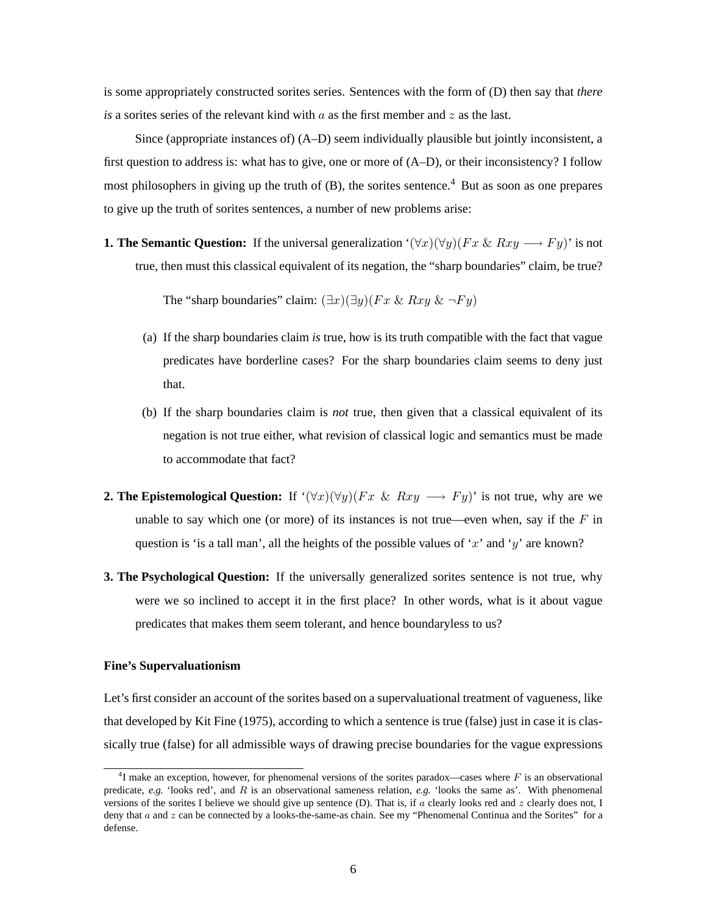is some appropriately constructed sorites series. Sentences with the form of (D) then say that *there is* a sorites series of the relevant kind with  $a$  as the first member and  $z$  as the last.

Since (appropriate instances of) (A–D) seem individually plausible but jointly inconsistent, a first question to address is: what has to give, one or more of (A–D), or their inconsistency? I follow most philosophers in giving up the truth of  $(B)$ , the sorites sentence.<sup>4</sup> But as soon as one prepares to give up the truth of sorites sentences, a number of new problems arise:

**1. The Semantic Question:** If the universal generalization  $(\forall x)(\forall y)(Fx\&Rxy \longrightarrow Fy)$ ' is not true, then must this classical equivalent of its negation, the "sharp boundaries" claim, be true?

The "sharp boundaries" claim:  $(\exists x)(\exists y)(Fx \& Rxy \& \neg Fy)$ 

- (a) If the sharp boundaries claim *is* true, how is its truth compatible with the fact that vague predicates have borderline cases? For the sharp boundaries claim seems to deny just that.
- (b) If the sharp boundaries claim is *not* true, then given that a classical equivalent of its negation is not true either, what revision of classical logic and semantics must be made to accommodate that fact?
- **2. The Epistemological Question:** If  $(\forall x)(\forall y)(Fx \& Rxy \longrightarrow Fy)$  is not true, why are we unable to say which one (or more) of its instances is not true—even when, say if the  $F$  in question is 'is a tall man', all the heights of the possible values of 'x' and 'y' are known?
- **3. The Psychological Question:** If the universally generalized sorites sentence is not true, why were we so inclined to accept it in the first place? In other words, what is it about vague predicates that makes them seem tolerant, and hence boundaryless to us?

## **Fine's Supervaluationism**

Let's first consider an account of the sorites based on a supervaluational treatment of vagueness, like that developed by Kit Fine (1975), according to which a sentence is true (false) just in case it is classically true (false) for all admissible ways of drawing precise boundaries for the vague expressions

<sup>&</sup>lt;sup>4</sup>I make an exception, however, for phenomenal versions of the sorites paradox—cases where F is an observational predicate, *e.g.* 'looks red', and *R* is an observational sameness relation, *e.g.* 'looks the same as'. With phenomenal versions of the sorites I believe we should give up sentence (D). That is, if *a* clearly looks red and *z* clearly does not, I deny that *a* and *z* can be connected by a looks-the-same-as chain. See my "Phenomenal Continua and the Sorites" for a defense.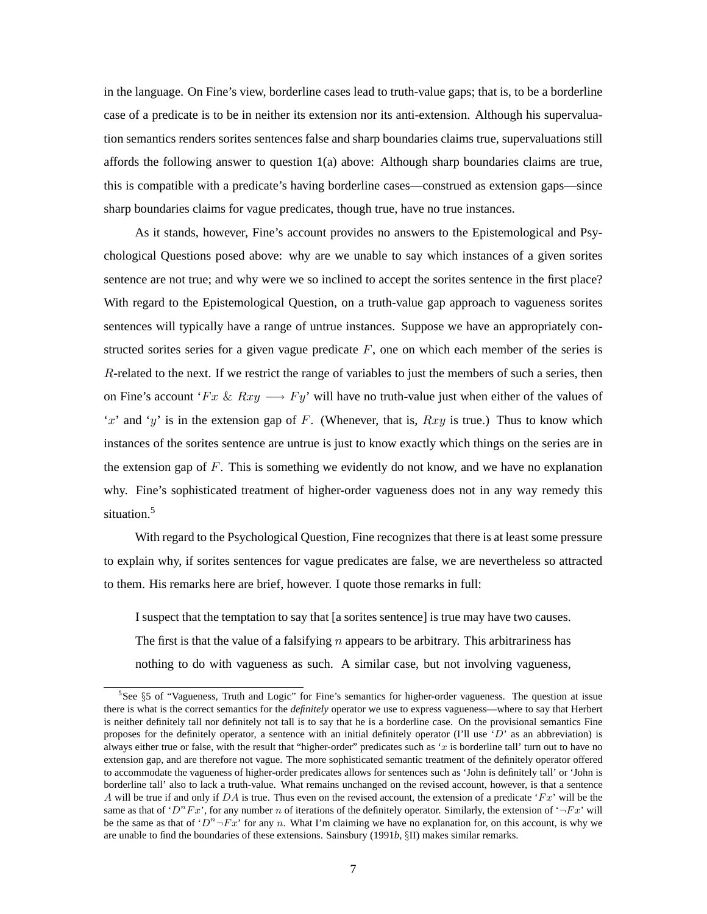in the language. On Fine's view, borderline cases lead to truth-value gaps; that is, to be a borderline case of a predicate is to be in neither its extension nor its anti-extension. Although his supervaluation semantics renders sorites sentences false and sharp boundaries claims true, supervaluations still affords the following answer to question 1(a) above: Although sharp boundaries claims are true, this is compatible with a predicate's having borderline cases—construed as extension gaps—since sharp boundaries claims for vague predicates, though true, have no true instances.

As it stands, however, Fine's account provides no answers to the Epistemological and Psychological Questions posed above: why are we unable to say which instances of a given sorites sentence are not true; and why were we so inclined to accept the sorites sentence in the first place? With regard to the Epistemological Question, on a truth-value gap approach to vagueness sorites sentences will typically have a range of untrue instances. Suppose we have an appropriately constructed sorites series for a given vague predicate  $F$ , one on which each member of the series is R-related to the next. If we restrict the range of variables to just the members of such a series, then on Fine's account ' $Fx \& Rxy \rightarrow Fy'$  will have no truth-value just when either of the values of "x" and "y" is in the extension gap of F. (Whenever, that is,  $Rxy$  is true.) Thus to know which instances of the sorites sentence are untrue is just to know exactly which things on the series are in the extension gap of  $F$ . This is something we evidently do not know, and we have no explanation why. Fine's sophisticated treatment of higher-order vagueness does not in any way remedy this situation.<sup>5</sup>

With regard to the Psychological Question, Fine recognizes that there is at least some pressure to explain why, if sorites sentences for vague predicates are false, we are nevertheless so attracted to them. His remarks here are brief, however. I quote those remarks in full:

I suspect that the temptation to say that [a sorites sentence] is true may have two causes. The first is that the value of a falsifying  $n$  appears to be arbitrary. This arbitrariness has nothing to do with vagueness as such. A similar case, but not involving vagueness,

<sup>&</sup>lt;sup>5</sup>See §5 of "Vagueness, Truth and Logic" for Fine's semantics for higher-order vagueness. The question at issue there is what is the correct semantics for the *definitely* operator we use to express vagueness—where to say that Herbert is neither definitely tall nor definitely not tall is to say that he is a borderline case. On the provisional semantics Fine proposes for the definitely operator, a sentence with an initial definitely operator (I'll use '*D*' as an abbreviation) is always either true or false, with the result that "higher-order" predicates such as '*x* is borderline tall' turn out to have no extension gap, and are therefore not vague. The more sophisticated semantic treatment of the definitely operator offered to accommodate the vagueness of higher-order predicates allows for sentences such as 'John is definitely tall' or 'John is borderline tall' also to lack a truth-value. What remains unchanged on the revised account, however, is that a sentence *A* will be true if and only if *DA* is true. Thus even on the revised account, the extension of a predicate '*Fx*' will be the same as that of ' $D^n F x$ ', for any number *n* of iterations of the definitely operator. Similarly, the extension of ' $\neg F x$ ' will be the same as that of  $D^n$ -*Fx*' for any *n*. What I'm claiming we have no explanation for, on this account, is why we are unable to find the boundaries of these extensions. Sainsbury (1991*b*, §II) makes similar remarks.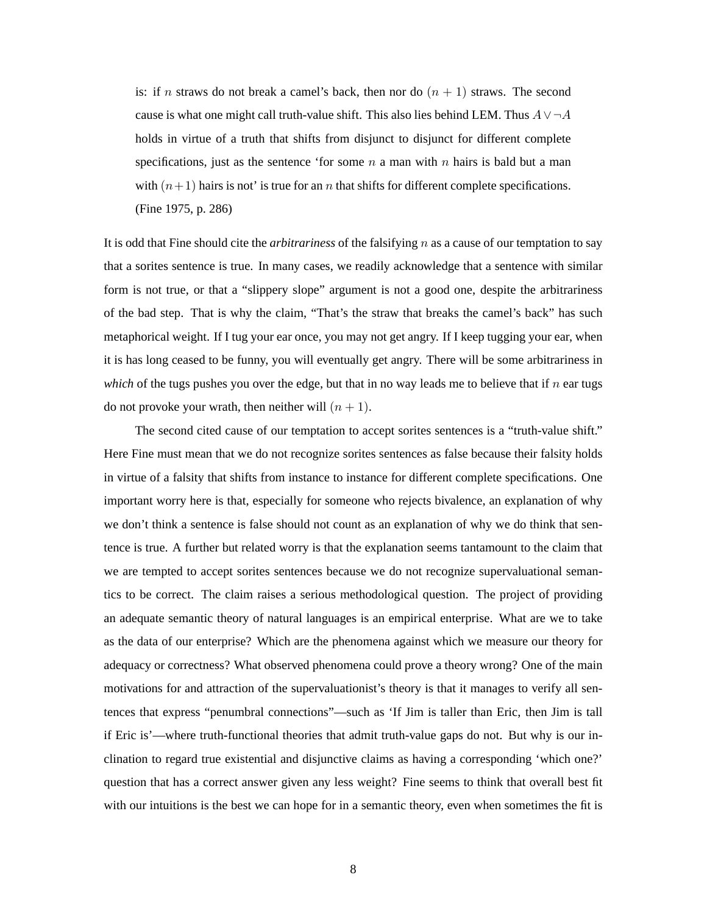is: if n straws do not break a camel's back, then nor do  $(n + 1)$  straws. The second cause is what one might call truth-value shift. This also lies behind LEM. Thus  $A \vee \neg A$ holds in virtue of a truth that shifts from disjunct to disjunct for different complete specifications, just as the sentence 'for some  $n$  a man with  $n$  hairs is bald but a man with  $(n+1)$  hairs is not' is true for an n that shifts for different complete specifications. (Fine 1975, p. 286)

It is odd that Fine should cite the *arbitrariness* of the falsifying n as a cause of our temptation to say that a sorites sentence is true. In many cases, we readily acknowledge that a sentence with similar form is not true, or that a "slippery slope" argument is not a good one, despite the arbitrariness of the bad step. That is why the claim, "That's the straw that breaks the camel's back" has such metaphorical weight. If I tug your ear once, you may not get angry. If I keep tugging your ear, when it is has long ceased to be funny, you will eventually get angry. There will be some arbitrariness in *which* of the tugs pushes you over the edge, but that in no way leads me to believe that if  $n$  ear tugs do not provoke your wrath, then neither will  $(n + 1)$ .

The second cited cause of our temptation to accept sorites sentences is a "truth-value shift." Here Fine must mean that we do not recognize sorites sentences as false because their falsity holds in virtue of a falsity that shifts from instance to instance for different complete specifications. One important worry here is that, especially for someone who rejects bivalence, an explanation of why we don't think a sentence is false should not count as an explanation of why we do think that sentence is true. A further but related worry is that the explanation seems tantamount to the claim that we are tempted to accept sorites sentences because we do not recognize supervaluational semantics to be correct. The claim raises a serious methodological question. The project of providing an adequate semantic theory of natural languages is an empirical enterprise. What are we to take as the data of our enterprise? Which are the phenomena against which we measure our theory for adequacy or correctness? What observed phenomena could prove a theory wrong? One of the main motivations for and attraction of the supervaluationist's theory is that it manages to verify all sentences that express "penumbral connections"—such as 'If Jim is taller than Eric, then Jim is tall if Eric is'—where truth-functional theories that admit truth-value gaps do not. But why is our inclination to regard true existential and disjunctive claims as having a corresponding 'which one?' question that has a correct answer given any less weight? Fine seems to think that overall best fit with our intuitions is the best we can hope for in a semantic theory, even when sometimes the fit is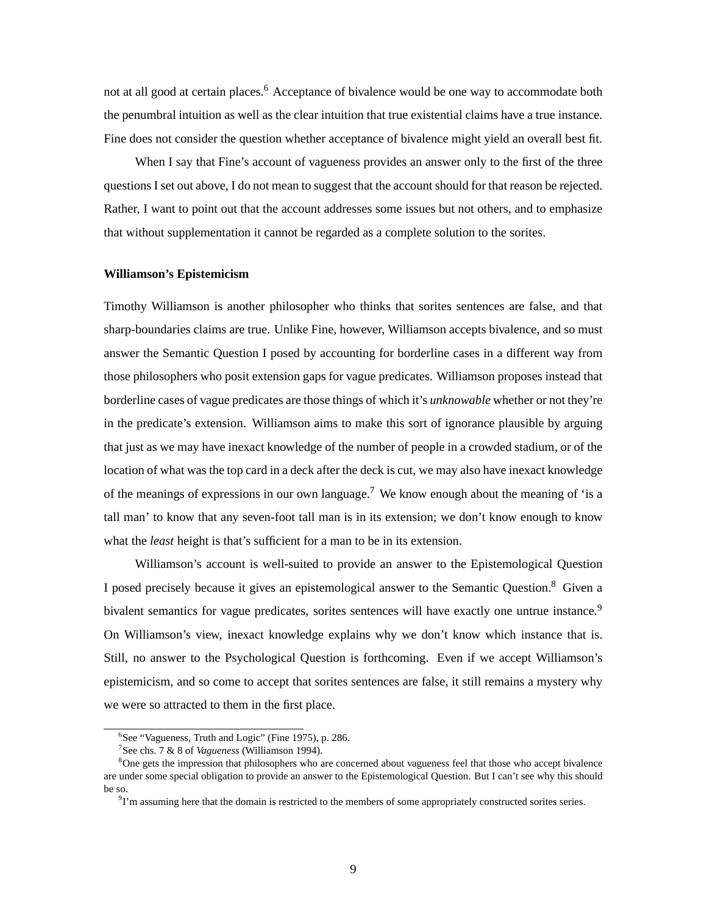not at all good at certain places.<sup>6</sup> Acceptance of bivalence would be one way to accommodate both the penumbral intuition as well as the clear intuition that true existential claims have a true instance. Fine does not consider the question whether acceptance of bivalence might yield an overall best fit.

When I say that Fine's account of vagueness provides an answer only to the first of the three questions I set out above, I do not mean to suggest that the account should for that reason be rejected. Rather, I want to point out that the account addresses some issues but not others, and to emphasize that without supplementation it cannot be regarded as a complete solution to the sorites.

#### **Williamson's Epistemicism**

Timothy Williamson is another philosopher who thinks that sorites sentences are false, and that sharp-boundaries claims are true. Unlike Fine, however, Williamson accepts bivalence, and so must answer the Semantic Question I posed by accounting for borderline cases in a different way from those philosophers who posit extension gaps for vague predicates. Williamson proposes instead that borderline cases of vague predicates are those things of which it's *unknowable* whether or not they're in the predicate's extension. Williamson aims to make this sort of ignorance plausible by arguing that just as we may have inexact knowledge of the number of people in a crowded stadium, or of the location of what was the top card in a deck after the deck is cut, we may also have inexact knowledge of the meanings of expressions in our own language.<sup>7</sup> We know enough about the meaning of 'is a tall man' to know that any seven-foot tall man is in its extension; we don't know enough to know what the *least* height is that's sufficient for a man to be in its extension.

Williamson's account is well-suited to provide an answer to the Epistemological Question I posed precisely because it gives an epistemological answer to the Semantic Question.8 Given a bivalent semantics for vague predicates, sorites sentences will have exactly one untrue instance.<sup>9</sup> On Williamson's view, inexact knowledge explains why we don't know which instance that is. Still, no answer to the Psychological Question is forthcoming. Even if we accept Williamson's epistemicism, and so come to accept that sorites sentences are false, it still remains a mystery why we were so attracted to them in the first place.

<sup>&</sup>lt;sup>6</sup>See "Vagueness, Truth and Logic" (Fine 1975), p. 286.

<sup>7</sup> See chs. 7 & 8 of *Vagueness* (Williamson 1994).

<sup>&</sup>lt;sup>8</sup>One gets the impression that philosophers who are concerned about vagueness feel that those who accept bivalence are under some special obligation to provide an answer to the Epistemological Question. But I can't see why this should be so.

<sup>&</sup>lt;sup>9</sup>I'm assuming here that the domain is restricted to the members of some appropriately constructed sorites series.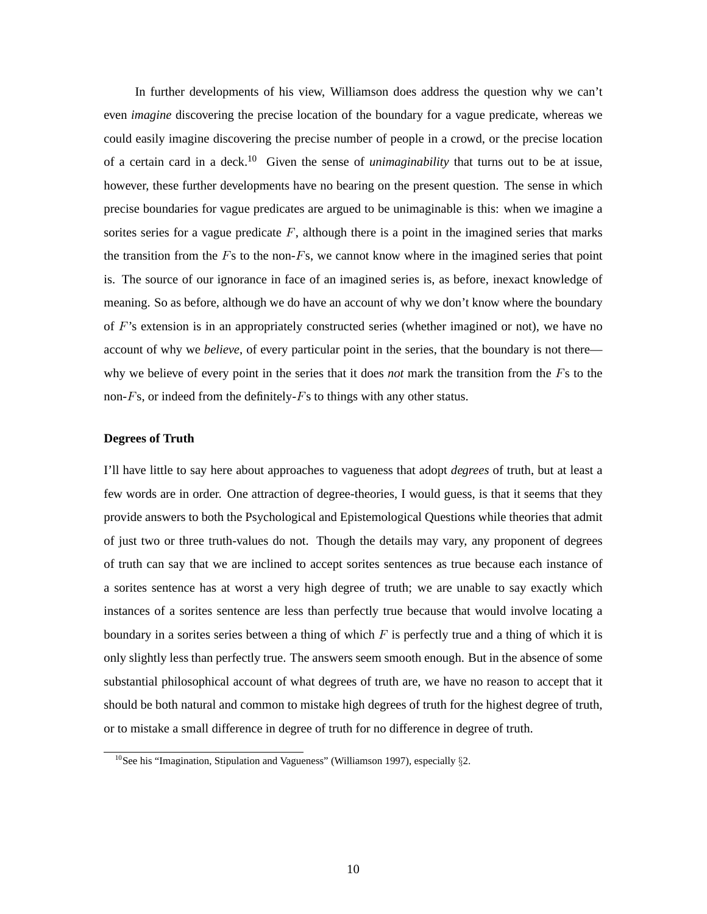In further developments of his view, Williamson does address the question why we can't even *imagine* discovering the precise location of the boundary for a vague predicate, whereas we could easily imagine discovering the precise number of people in a crowd, or the precise location of a certain card in a deck.<sup>10</sup> Given the sense of *unimaginability* that turns out to be at issue, however, these further developments have no bearing on the present question. The sense in which precise boundaries for vague predicates are argued to be unimaginable is this: when we imagine a sorites series for a vague predicate  $F$ , although there is a point in the imagined series that marks the transition from the  $Fs$  to the non- $Fs$ , we cannot know where in the imagined series that point is. The source of our ignorance in face of an imagined series is, as before, inexact knowledge of meaning. So as before, although we do have an account of why we don't know where the boundary of  $F$ 's extension is in an appropriately constructed series (whether imagined or not), we have no account of why we *believe*, of every particular point in the series, that the boundary is not there why we believe of every point in the series that it does *not* mark the transition from the Fs to the non- $Fs$ , or indeed from the definitely- $Fs$  to things with any other status.

### **Degrees of Truth**

I'll have little to say here about approaches to vagueness that adopt *degrees* of truth, but at least a few words are in order. One attraction of degree-theories, I would guess, is that it seems that they provide answers to both the Psychological and Epistemological Questions while theories that admit of just two or three truth-values do not. Though the details may vary, any proponent of degrees of truth can say that we are inclined to accept sorites sentences as true because each instance of a sorites sentence has at worst a very high degree of truth; we are unable to say exactly which instances of a sorites sentence are less than perfectly true because that would involve locating a boundary in a sorites series between a thing of which  $F$  is perfectly true and a thing of which it is only slightly less than perfectly true. The answers seem smooth enough. But in the absence of some substantial philosophical account of what degrees of truth are, we have no reason to accept that it should be both natural and common to mistake high degrees of truth for the highest degree of truth, or to mistake a small difference in degree of truth for no difference in degree of truth.

 $10$ See his "Imagination, Stipulation and Vagueness" (Williamson 1997), especially  $\S2$ .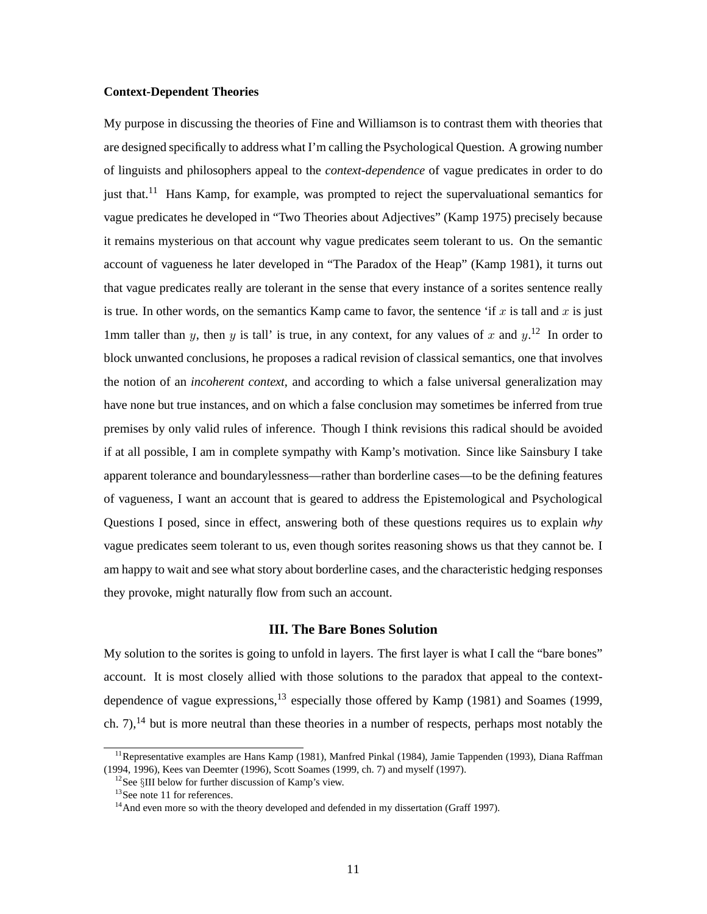#### **Context-Dependent Theories**

My purpose in discussing the theories of Fine and Williamson is to contrast them with theories that are designed specifically to address what I'm calling the Psychological Question. A growing number of linguists and philosophers appeal to the *context-dependence* of vague predicates in order to do just that.<sup>11</sup> Hans Kamp, for example, was prompted to reject the supervaluational semantics for vague predicates he developed in "Two Theories about Adjectives" (Kamp 1975) precisely because it remains mysterious on that account why vague predicates seem tolerant to us. On the semantic account of vagueness he later developed in "The Paradox of the Heap" (Kamp 1981), it turns out that vague predicates really are tolerant in the sense that every instance of a sorites sentence really is true. In other words, on the semantics Kamp came to favor, the sentence 'if x is tall and x is just 1mm taller than y, then y is tall' is true, in any context, for any values of x and  $y$ .<sup>12</sup> In order to block unwanted conclusions, he proposes a radical revision of classical semantics, one that involves the notion of an *incoherent context*, and according to which a false universal generalization may have none but true instances, and on which a false conclusion may sometimes be inferred from true premises by only valid rules of inference. Though I think revisions this radical should be avoided if at all possible, I am in complete sympathy with Kamp's motivation. Since like Sainsbury I take apparent tolerance and boundarylessness—rather than borderline cases—to be the defining features of vagueness, I want an account that is geared to address the Epistemological and Psychological Questions I posed, since in effect, answering both of these questions requires us to explain *why* vague predicates seem tolerant to us, even though sorites reasoning shows us that they cannot be. I am happy to wait and see what story about borderline cases, and the characteristic hedging responses they provoke, might naturally flow from such an account.

# **III. The Bare Bones Solution**

My solution to the sorites is going to unfold in layers. The first layer is what I call the "bare bones" account. It is most closely allied with those solutions to the paradox that appeal to the contextdependence of vague expressions,  $^{13}$  especially those offered by Kamp (1981) and Soames (1999, ch. 7),<sup>14</sup> but is more neutral than these theories in a number of respects, perhaps most notably the

<sup>&</sup>lt;sup>11</sup> Representative examples are Hans Kamp (1981), Manfred Pinkal (1984), Jamie Tappenden (1993), Diana Raffman (1994, 1996), Kees van Deemter (1996), Scott Soames (1999, ch. 7) and myself (1997).

<sup>&</sup>lt;sup>12</sup>See §III below for further discussion of Kamp's view. <sup>13</sup>See note 11 for references.

<sup>&</sup>lt;sup>14</sup>And even more so with the theory developed and defended in my dissertation (Graff 1997).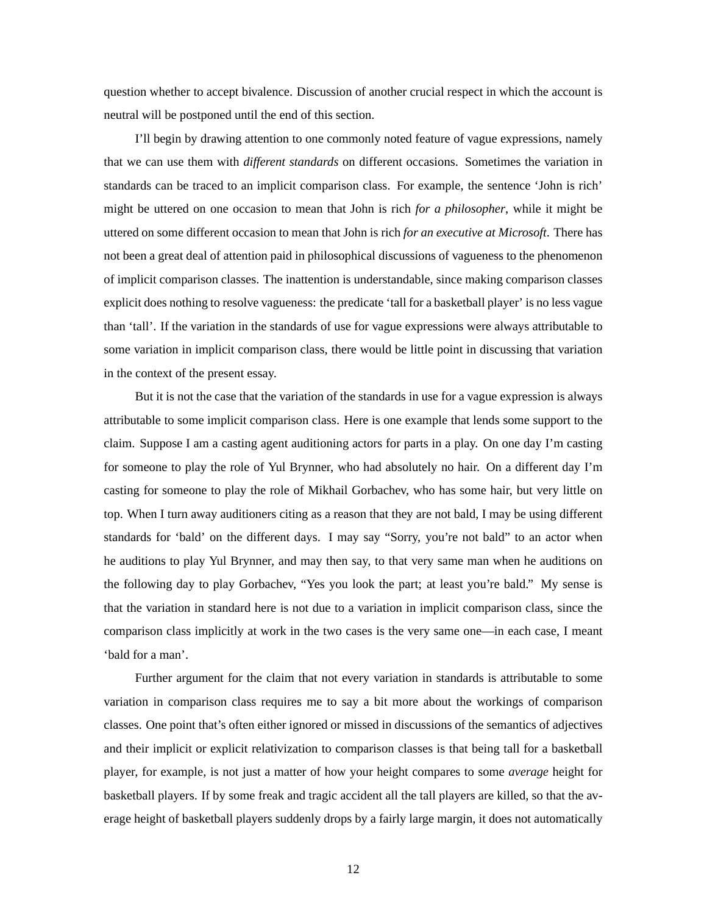question whether to accept bivalence. Discussion of another crucial respect in which the account is neutral will be postponed until the end of this section.

I'll begin by drawing attention to one commonly noted feature of vague expressions, namely that we can use them with *different standards* on different occasions. Sometimes the variation in standards can be traced to an implicit comparison class. For example, the sentence 'John is rich' might be uttered on one occasion to mean that John is rich *for a philosopher*, while it might be uttered on some different occasion to mean that John is rich *for an executive at Microsoft*. There has not been a great deal of attention paid in philosophical discussions of vagueness to the phenomenon of implicit comparison classes. The inattention is understandable, since making comparison classes explicit does nothing to resolve vagueness: the predicate 'tall for a basketball player' is no less vague than 'tall'. If the variation in the standards of use for vague expressions were always attributable to some variation in implicit comparison class, there would be little point in discussing that variation in the context of the present essay.

But it is not the case that the variation of the standards in use for a vague expression is always attributable to some implicit comparison class. Here is one example that lends some support to the claim. Suppose I am a casting agent auditioning actors for parts in a play. On one day I'm casting for someone to play the role of Yul Brynner, who had absolutely no hair. On a different day I'm casting for someone to play the role of Mikhail Gorbachev, who has some hair, but very little on top. When I turn away auditioners citing as a reason that they are not bald, I may be using different standards for 'bald' on the different days. I may say "Sorry, you're not bald" to an actor when he auditions to play Yul Brynner, and may then say, to that very same man when he auditions on the following day to play Gorbachev, "Yes you look the part; at least you're bald." My sense is that the variation in standard here is not due to a variation in implicit comparison class, since the comparison class implicitly at work in the two cases is the very same one—in each case, I meant 'bald for a man'.

Further argument for the claim that not every variation in standards is attributable to some variation in comparison class requires me to say a bit more about the workings of comparison classes. One point that's often either ignored or missed in discussions of the semantics of adjectives and their implicit or explicit relativization to comparison classes is that being tall for a basketball player, for example, is not just a matter of how your height compares to some *average* height for basketball players. If by some freak and tragic accident all the tall players are killed, so that the average height of basketball players suddenly drops by a fairly large margin, it does not automatically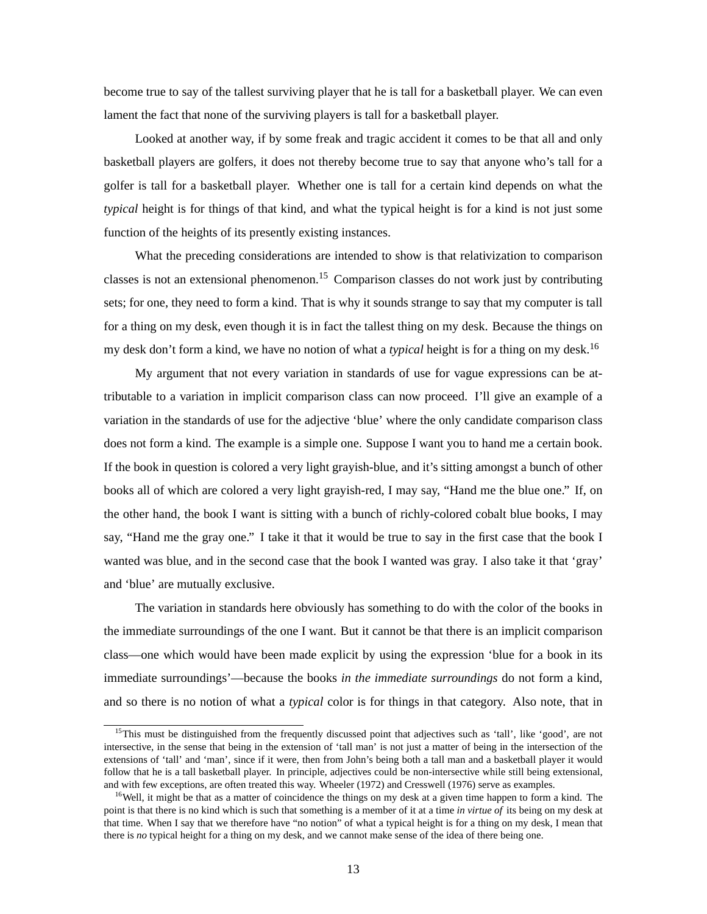become true to say of the tallest surviving player that he is tall for a basketball player. We can even lament the fact that none of the surviving players is tall for a basketball player.

Looked at another way, if by some freak and tragic accident it comes to be that all and only basketball players are golfers, it does not thereby become true to say that anyone who's tall for a golfer is tall for a basketball player. Whether one is tall for a certain kind depends on what the *typical* height is for things of that kind, and what the typical height is for a kind is not just some function of the heights of its presently existing instances.

What the preceding considerations are intended to show is that relativization to comparison classes is not an extensional phenomenon.<sup>15</sup> Comparison classes do not work just by contributing sets; for one, they need to form a kind. That is why it sounds strange to say that my computer is tall for a thing on my desk, even though it is in fact the tallest thing on my desk. Because the things on my desk don't form a kind, we have no notion of what a *typical* height is for a thing on my desk.16

My argument that not every variation in standards of use for vague expressions can be attributable to a variation in implicit comparison class can now proceed. I'll give an example of a variation in the standards of use for the adjective 'blue' where the only candidate comparison class does not form a kind. The example is a simple one. Suppose I want you to hand me a certain book. If the book in question is colored a very light grayish-blue, and it's sitting amongst a bunch of other books all of which are colored a very light grayish-red, I may say, "Hand me the blue one." If, on the other hand, the book I want is sitting with a bunch of richly-colored cobalt blue books, I may say, "Hand me the gray one." I take it that it would be true to say in the first case that the book I wanted was blue, and in the second case that the book I wanted was gray. I also take it that 'gray' and 'blue' are mutually exclusive.

The variation in standards here obviously has something to do with the color of the books in the immediate surroundings of the one I want. But it cannot be that there is an implicit comparison class—one which would have been made explicit by using the expression 'blue for a book in its immediate surroundings'—because the books *in the immediate surroundings* do not form a kind, and so there is no notion of what a *typical* color is for things in that category. Also note, that in

<sup>&</sup>lt;sup>15</sup>This must be distinguished from the frequently discussed point that adjectives such as 'tall', like 'good', are not intersective, in the sense that being in the extension of 'tall man' is not just a matter of being in the intersection of the extensions of 'tall' and 'man', since if it were, then from John's being both a tall man and a basketball player it would follow that he is a tall basketball player. In principle, adjectives could be non-intersective while still being extensional, and with few exceptions, are often treated this way. Wheeler (1972) and Cresswell (1976) serve as examples.

<sup>&</sup>lt;sup>16</sup>Well, it might be that as a matter of coincidence the things on my desk at a given time happen to form a kind. The point is that there is no kind which is such that something is a member of it at a time *in virtue of* its being on my desk at that time. When I say that we therefore have "no notion" of what a typical height is for a thing on my desk, I mean that there is *no* typical height for a thing on my desk, and we cannot make sense of the idea of there being one.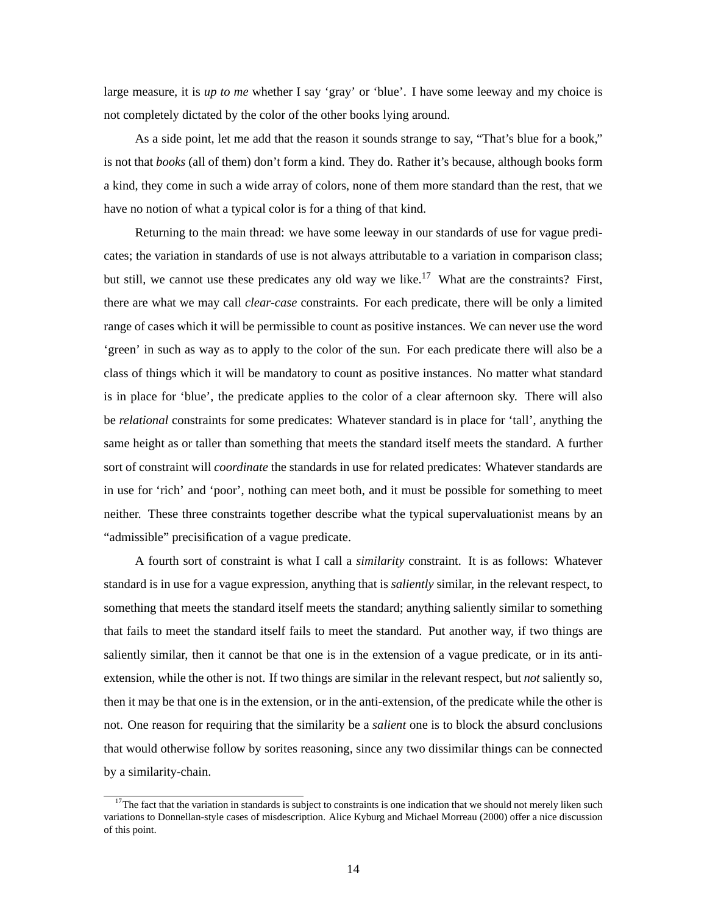large measure, it is *up to me* whether I say 'gray' or 'blue'. I have some leeway and my choice is not completely dictated by the color of the other books lying around.

As a side point, let me add that the reason it sounds strange to say, "That's blue for a book," is not that *books* (all of them) don't form a kind. They do. Rather it's because, although books form a kind, they come in such a wide array of colors, none of them more standard than the rest, that we have no notion of what a typical color is for a thing of that kind.

Returning to the main thread: we have some leeway in our standards of use for vague predicates; the variation in standards of use is not always attributable to a variation in comparison class; but still, we cannot use these predicates any old way we like.<sup>17</sup> What are the constraints? First, there are what we may call *clear-case* constraints. For each predicate, there will be only a limited range of cases which it will be permissible to count as positive instances. We can never use the word 'green' in such as way as to apply to the color of the sun. For each predicate there will also be a class of things which it will be mandatory to count as positive instances. No matter what standard is in place for 'blue', the predicate applies to the color of a clear afternoon sky. There will also be *relational* constraints for some predicates: Whatever standard is in place for 'tall', anything the same height as or taller than something that meets the standard itself meets the standard. A further sort of constraint will *coordinate* the standards in use for related predicates: Whatever standards are in use for 'rich' and 'poor', nothing can meet both, and it must be possible for something to meet neither. These three constraints together describe what the typical supervaluationist means by an "admissible" precisification of a vague predicate.

A fourth sort of constraint is what I call a *similarity* constraint. It is as follows: Whatever standard is in use for a vague expression, anything that is *saliently* similar, in the relevant respect, to something that meets the standard itself meets the standard; anything saliently similar to something that fails to meet the standard itself fails to meet the standard. Put another way, if two things are saliently similar, then it cannot be that one is in the extension of a vague predicate, or in its antiextension, while the other is not. If two things are similar in the relevant respect, but *not* saliently so, then it may be that one is in the extension, or in the anti-extension, of the predicate while the other is not. One reason for requiring that the similarity be a *salient* one is to block the absurd conclusions that would otherwise follow by sorites reasoning, since any two dissimilar things can be connected by a similarity-chain.

 $17$ The fact that the variation in standards is subject to constraints is one indication that we should not merely liken such variations to Donnellan-style cases of misdescription. Alice Kyburg and Michael Morreau (2000) offer a nice discussion of this point.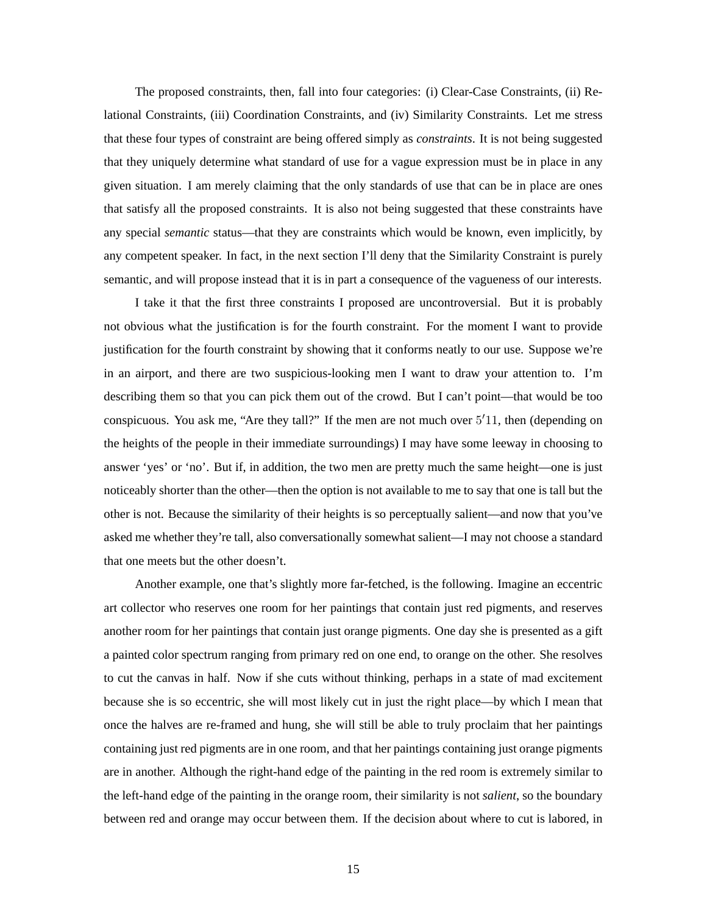The proposed constraints, then, fall into four categories: (i) Clear-Case Constraints, (ii) Relational Constraints, (iii) Coordination Constraints, and (iv) Similarity Constraints. Let me stress that these four types of constraint are being offered simply as *constraints*. It is not being suggested that they uniquely determine what standard of use for a vague expression must be in place in any given situation. I am merely claiming that the only standards of use that can be in place are ones that satisfy all the proposed constraints. It is also not being suggested that these constraints have any special *semantic* status—that they are constraints which would be known, even implicitly, by any competent speaker. In fact, in the next section I'll deny that the Similarity Constraint is purely semantic, and will propose instead that it is in part a consequence of the vagueness of our interests.

I take it that the first three constraints I proposed are uncontroversial. But it is probably not obvious what the justification is for the fourth constraint. For the moment I want to provide justification for the fourth constraint by showing that it conforms neatly to our use. Suppose we're in an airport, and there are two suspicious-looking men I want to draw your attention to. I'm describing them so that you can pick them out of the crowd. But I can't point—that would be too conspicuous. You ask me, "Are they tall?" If the men are not much over 5 11, then (depending on the heights of the people in their immediate surroundings) I may have some leeway in choosing to answer 'yes' or 'no'. But if, in addition, the two men are pretty much the same height—one is just noticeably shorter than the other—then the option is not available to me to say that one is tall but the other is not. Because the similarity of their heights is so perceptually salient—and now that you've asked me whether they're tall, also conversationally somewhat salient—I may not choose a standard that one meets but the other doesn't.

Another example, one that's slightly more far-fetched, is the following. Imagine an eccentric art collector who reserves one room for her paintings that contain just red pigments, and reserves another room for her paintings that contain just orange pigments. One day she is presented as a gift a painted color spectrum ranging from primary red on one end, to orange on the other. She resolves to cut the canvas in half. Now if she cuts without thinking, perhaps in a state of mad excitement because she is so eccentric, she will most likely cut in just the right place—by which I mean that once the halves are re-framed and hung, she will still be able to truly proclaim that her paintings containing just red pigments are in one room, and that her paintings containing just orange pigments are in another. Although the right-hand edge of the painting in the red room is extremely similar to the left-hand edge of the painting in the orange room, their similarity is not *salient*, so the boundary between red and orange may occur between them. If the decision about where to cut is labored, in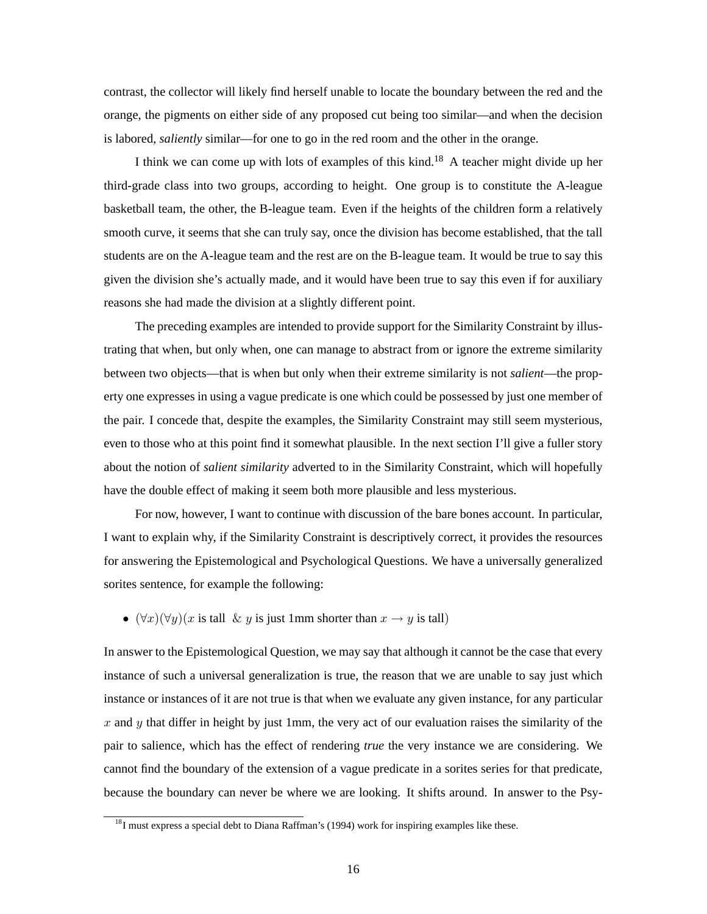contrast, the collector will likely find herself unable to locate the boundary between the red and the orange, the pigments on either side of any proposed cut being too similar—and when the decision is labored, *saliently* similar—for one to go in the red room and the other in the orange.

I think we can come up with lots of examples of this kind.<sup>18</sup> A teacher might divide up her third-grade class into two groups, according to height. One group is to constitute the A-league basketball team, the other, the B-league team. Even if the heights of the children form a relatively smooth curve, it seems that she can truly say, once the division has become established, that the tall students are on the A-league team and the rest are on the B-league team. It would be true to say this given the division she's actually made, and it would have been true to say this even if for auxiliary reasons she had made the division at a slightly different point.

The preceding examples are intended to provide support for the Similarity Constraint by illustrating that when, but only when, one can manage to abstract from or ignore the extreme similarity between two objects—that is when but only when their extreme similarity is not *salient*—the property one expresses in using a vague predicate is one which could be possessed by just one member of the pair. I concede that, despite the examples, the Similarity Constraint may still seem mysterious, even to those who at this point find it somewhat plausible. In the next section I'll give a fuller story about the notion of *salient similarity* adverted to in the Similarity Constraint, which will hopefully have the double effect of making it seem both more plausible and less mysterious.

For now, however, I want to continue with discussion of the bare bones account. In particular, I want to explain why, if the Similarity Constraint is descriptively correct, it provides the resources for answering the Epistemological and Psychological Questions. We have a universally generalized sorites sentence, for example the following:

•  $(\forall x)(\forall y)(x \text{ is tall } \& y \text{ is just 1mm shorter than } x \rightarrow y \text{ is tall})$ 

In answer to the Epistemological Question, we may say that although it cannot be the case that every instance of such a universal generalization is true, the reason that we are unable to say just which instance or instances of it are not true is that when we evaluate any given instance, for any particular  $x$  and  $y$  that differ in height by just 1mm, the very act of our evaluation raises the similarity of the pair to salience, which has the effect of rendering *true* the very instance we are considering. We cannot find the boundary of the extension of a vague predicate in a sorites series for that predicate, because the boundary can never be where we are looking. It shifts around. In answer to the Psy-

<sup>&</sup>lt;sup>18</sup>I must express a special debt to Diana Raffman's (1994) work for inspiring examples like these.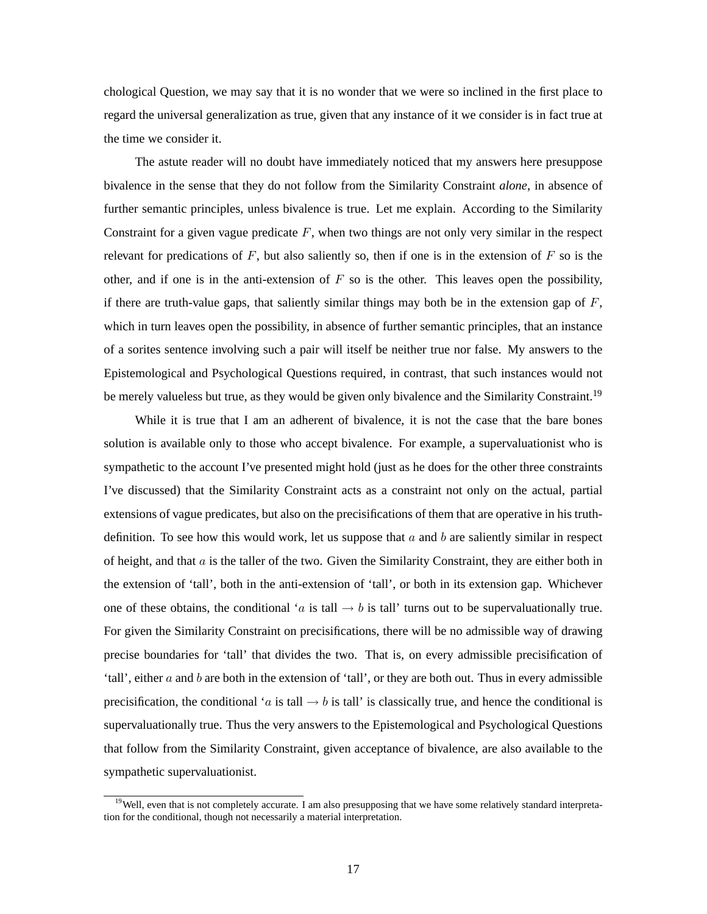chological Question, we may say that it is no wonder that we were so inclined in the first place to regard the universal generalization as true, given that any instance of it we consider is in fact true at the time we consider it.

The astute reader will no doubt have immediately noticed that my answers here presuppose bivalence in the sense that they do not follow from the Similarity Constraint *alone*, in absence of further semantic principles, unless bivalence is true. Let me explain. According to the Similarity Constraint for a given vague predicate  $F$ , when two things are not only very similar in the respect relevant for predications of F, but also saliently so, then if one is in the extension of  $F$  so is the other, and if one is in the anti-extension of  $F$  so is the other. This leaves open the possibility, if there are truth-value gaps, that saliently similar things may both be in the extension gap of  $F$ , which in turn leaves open the possibility, in absence of further semantic principles, that an instance of a sorites sentence involving such a pair will itself be neither true nor false. My answers to the Epistemological and Psychological Questions required, in contrast, that such instances would not be merely valueless but true, as they would be given only bivalence and the Similarity Constraint.<sup>19</sup>

While it is true that I am an adherent of bivalence, it is not the case that the bare bones solution is available only to those who accept bivalence. For example, a supervaluationist who is sympathetic to the account I've presented might hold (just as he does for the other three constraints I've discussed) that the Similarity Constraint acts as a constraint not only on the actual, partial extensions of vague predicates, but also on the precisifications of them that are operative in his truthdefinition. To see how this would work, let us suppose that  $a$  and  $b$  are saliently similar in respect of height, and that  $a$  is the taller of the two. Given the Similarity Constraint, they are either both in the extension of 'tall', both in the anti-extension of 'tall', or both in its extension gap. Whichever one of these obtains, the conditional 'a is tall  $\rightarrow b$  is tall' turns out to be supervaluationally true. For given the Similarity Constraint on precisifications, there will be no admissible way of drawing precise boundaries for 'tall' that divides the two. That is, on every admissible precisification of 'tall', either  $a$  and  $b$  are both in the extension of 'tall', or they are both out. Thus in every admissible precisification, the conditional 'a is tall  $\rightarrow b$  is tall' is classically true, and hence the conditional is supervaluationally true. Thus the very answers to the Epistemological and Psychological Questions that follow from the Similarity Constraint, given acceptance of bivalence, are also available to the sympathetic supervaluationist.

<sup>&</sup>lt;sup>19</sup>Well, even that is not completely accurate. I am also presupposing that we have some relatively standard interpretation for the conditional, though not necessarily a material interpretation.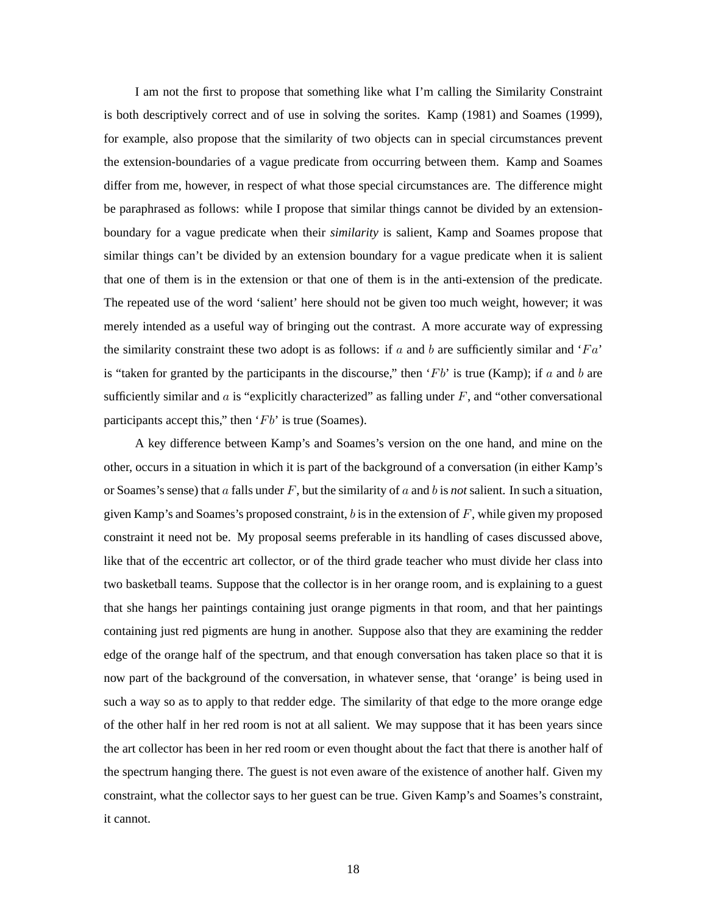I am not the first to propose that something like what I'm calling the Similarity Constraint is both descriptively correct and of use in solving the sorites. Kamp (1981) and Soames (1999), for example, also propose that the similarity of two objects can in special circumstances prevent the extension-boundaries of a vague predicate from occurring between them. Kamp and Soames differ from me, however, in respect of what those special circumstances are. The difference might be paraphrased as follows: while I propose that similar things cannot be divided by an extensionboundary for a vague predicate when their *similarity* is salient, Kamp and Soames propose that similar things can't be divided by an extension boundary for a vague predicate when it is salient that one of them is in the extension or that one of them is in the anti-extension of the predicate. The repeated use of the word 'salient' here should not be given too much weight, however; it was merely intended as a useful way of bringing out the contrast. A more accurate way of expressing the similarity constraint these two adopt is as follows: if a and b are sufficiently similar and ' $Fa$ ' is "taken for granted by the participants in the discourse," then ' $Fb$ ' is true (Kamp); if a and b are sufficiently similar and  $\alpha$  is "explicitly characterized" as falling under  $F$ , and "other conversational participants accept this," then  $Fb'$  is true (Soames).

A key difference between Kamp's and Soames's version on the one hand, and mine on the other, occurs in a situation in which it is part of the background of a conversation (in either Kamp's or Soames's sense) that  $\alpha$  falls under  $F$ , but the similarity of  $\alpha$  and  $\beta$  is *not* salient. In such a situation, given Kamp's and Soames's proposed constraint,  $b$  is in the extension of  $F$ , while given my proposed constraint it need not be. My proposal seems preferable in its handling of cases discussed above, like that of the eccentric art collector, or of the third grade teacher who must divide her class into two basketball teams. Suppose that the collector is in her orange room, and is explaining to a guest that she hangs her paintings containing just orange pigments in that room, and that her paintings containing just red pigments are hung in another. Suppose also that they are examining the redder edge of the orange half of the spectrum, and that enough conversation has taken place so that it is now part of the background of the conversation, in whatever sense, that 'orange' is being used in such a way so as to apply to that redder edge. The similarity of that edge to the more orange edge of the other half in her red room is not at all salient. We may suppose that it has been years since the art collector has been in her red room or even thought about the fact that there is another half of the spectrum hanging there. The guest is not even aware of the existence of another half. Given my constraint, what the collector says to her guest can be true. Given Kamp's and Soames's constraint, it cannot.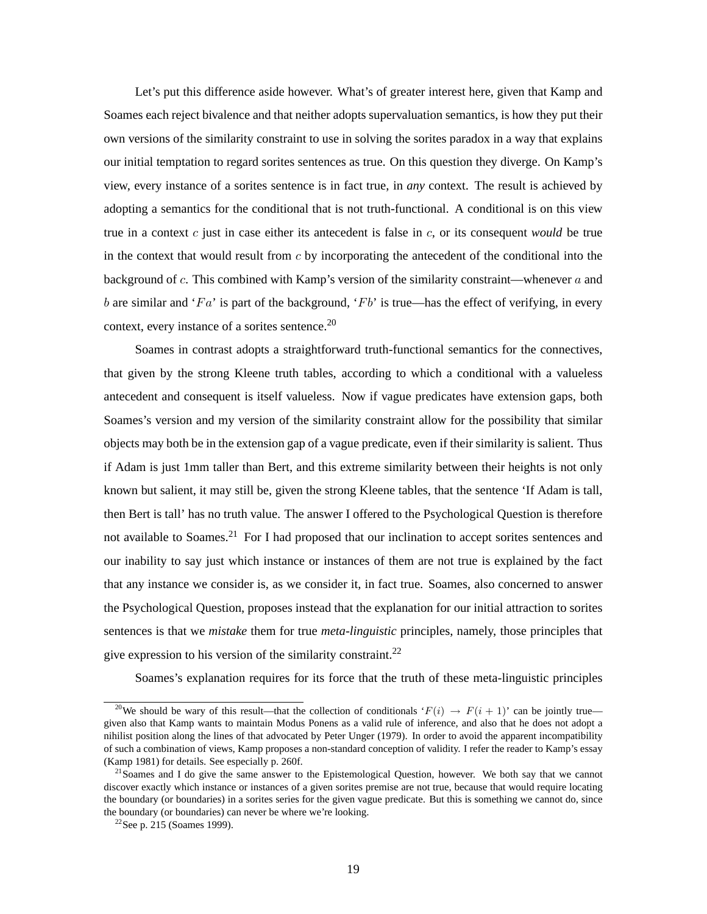Let's put this difference aside however. What's of greater interest here, given that Kamp and Soames each reject bivalence and that neither adopts supervaluation semantics, is how they put their own versions of the similarity constraint to use in solving the sorites paradox in a way that explains our initial temptation to regard sorites sentences as true. On this question they diverge. On Kamp's view, every instance of a sorites sentence is in fact true, in *any* context. The result is achieved by adopting a semantics for the conditional that is not truth-functional. A conditional is on this view true in a context  $c$  just in case either its antecedent is false in  $c$ , or its consequent *would* be true in the context that would result from  $c$  by incorporating the antecedent of the conditional into the background of  $c$ . This combined with Kamp's version of the similarity constraint—whenever  $a$  and b are similar and 'Fa' is part of the background, 'Fb' is true—has the effect of verifying, in every context, every instance of a sorites sentence.<sup>20</sup>

Soames in contrast adopts a straightforward truth-functional semantics for the connectives, that given by the strong Kleene truth tables, according to which a conditional with a valueless antecedent and consequent is itself valueless. Now if vague predicates have extension gaps, both Soames's version and my version of the similarity constraint allow for the possibility that similar objects may both be in the extension gap of a vague predicate, even if their similarity is salient. Thus if Adam is just 1mm taller than Bert, and this extreme similarity between their heights is not only known but salient, it may still be, given the strong Kleene tables, that the sentence 'If Adam is tall, then Bert is tall' has no truth value. The answer I offered to the Psychological Question is therefore not available to Soames.<sup>21</sup> For I had proposed that our inclination to accept sorites sentences and our inability to say just which instance or instances of them are not true is explained by the fact that any instance we consider is, as we consider it, in fact true. Soames, also concerned to answer the Psychological Question, proposes instead that the explanation for our initial attraction to sorites sentences is that we *mistake* them for true *meta-linguistic* principles, namely, those principles that give expression to his version of the similarity constraint.<sup>22</sup>

Soames's explanation requires for its force that the truth of these meta-linguistic principles

<sup>&</sup>lt;sup>20</sup>We should be wary of this result—that the collection of conditionals ' $F(i) \rightarrow F(i+1)$ ' can be jointly true given also that Kamp wants to maintain Modus Ponens as a valid rule of inference, and also that he does not adopt a nihilist position along the lines of that advocated by Peter Unger (1979). In order to avoid the apparent incompatibility of such a combination of views, Kamp proposes a non-standard conception of validity. I refer the reader to Kamp's essay (Kamp 1981) for details. See especially p. 260f.

 $21$ Soames and I do give the same answer to the Epistemological Question, however. We both say that we cannot discover exactly which instance or instances of a given sorites premise are not true, because that would require locating the boundary (or boundaries) in a sorites series for the given vague predicate. But this is something we cannot do, since the boundary (or boundaries) can never be where we're looking.

 $22$ See p. 215 (Soames 1999).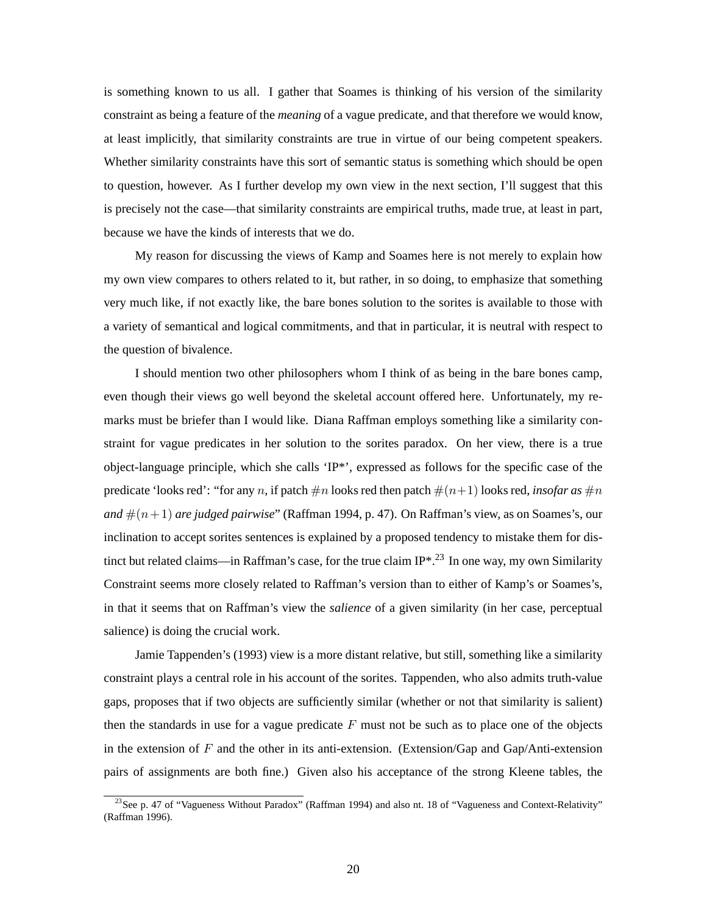is something known to us all. I gather that Soames is thinking of his version of the similarity constraint as being a feature of the *meaning* of a vague predicate, and that therefore we would know, at least implicitly, that similarity constraints are true in virtue of our being competent speakers. Whether similarity constraints have this sort of semantic status is something which should be open to question, however. As I further develop my own view in the next section, I'll suggest that this is precisely not the case—that similarity constraints are empirical truths, made true, at least in part, because we have the kinds of interests that we do.

My reason for discussing the views of Kamp and Soames here is not merely to explain how my own view compares to others related to it, but rather, in so doing, to emphasize that something very much like, if not exactly like, the bare bones solution to the sorites is available to those with a variety of semantical and logical commitments, and that in particular, it is neutral with respect to the question of bivalence.

I should mention two other philosophers whom I think of as being in the bare bones camp, even though their views go well beyond the skeletal account offered here. Unfortunately, my remarks must be briefer than I would like. Diana Raffman employs something like a similarity constraint for vague predicates in her solution to the sorites paradox. On her view, there is a true object-language principle, which she calls  $\{IP^*\}$ , expressed as follows for the specific case of the predicate 'looks red': "for any n, if patch  $\#n$  looks red then patch  $\#(n+1)$  looks red, *insofar as*  $\#n$ *and*  $\#(n+1)$  *are judged pairwise*" (Raffman 1994, p. 47). On Raffman's view, as on Soames's, our inclination to accept sorites sentences is explained by a proposed tendency to mistake them for distinct but related claims—in Raffman's case, for the true claim IP\*.<sup>23</sup> In one way, my own Similarity Constraint seems more closely related to Raffman's version than to either of Kamp's or Soames's, in that it seems that on Raffman's view the *salience* of a given similarity (in her case, perceptual salience) is doing the crucial work.

Jamie Tappenden's (1993) view is a more distant relative, but still, something like a similarity constraint plays a central role in his account of the sorites. Tappenden, who also admits truth-value gaps, proposes that if two objects are sufficiently similar (whether or not that similarity is salient) then the standards in use for a vague predicate  $F$  must not be such as to place one of the objects in the extension of  $F$  and the other in its anti-extension. (Extension/Gap and Gap/Anti-extension pairs of assignments are both fine.) Given also his acceptance of the strong Kleene tables, the

<sup>&</sup>lt;sup>23</sup>See p. 47 of "Vagueness Without Paradox" (Raffman 1994) and also nt. 18 of "Vagueness and Context-Relativity" (Raffman 1996).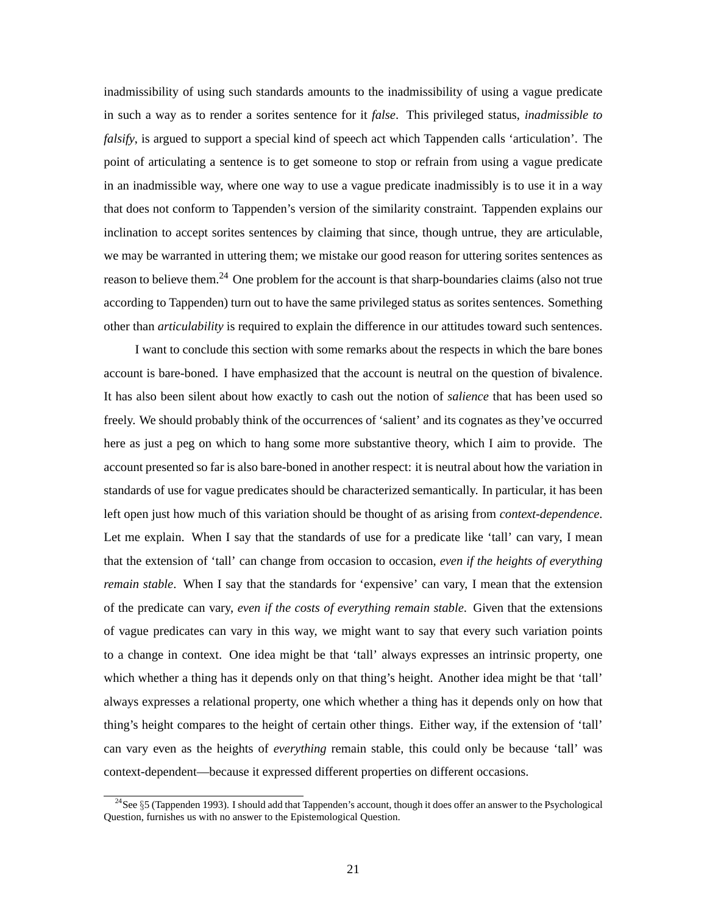inadmissibility of using such standards amounts to the inadmissibility of using a vague predicate in such a way as to render a sorites sentence for it *false*. This privileged status, *inadmissible to falsify*, is argued to support a special kind of speech act which Tappenden calls 'articulation'. The point of articulating a sentence is to get someone to stop or refrain from using a vague predicate in an inadmissible way, where one way to use a vague predicate inadmissibly is to use it in a way that does not conform to Tappenden's version of the similarity constraint. Tappenden explains our inclination to accept sorites sentences by claiming that since, though untrue, they are articulable, we may be warranted in uttering them; we mistake our good reason for uttering sorites sentences as reason to believe them.<sup>24</sup> One problem for the account is that sharp-boundaries claims (also not true according to Tappenden) turn out to have the same privileged status as sorites sentences. Something other than *articulability* is required to explain the difference in our attitudes toward such sentences.

I want to conclude this section with some remarks about the respects in which the bare bones account is bare-boned. I have emphasized that the account is neutral on the question of bivalence. It has also been silent about how exactly to cash out the notion of *salience* that has been used so freely. We should probably think of the occurrences of 'salient' and its cognates as they've occurred here as just a peg on which to hang some more substantive theory, which I aim to provide. The account presented so far is also bare-boned in another respect: it is neutral about how the variation in standards of use for vague predicates should be characterized semantically. In particular, it has been left open just how much of this variation should be thought of as arising from *context-dependence*. Let me explain. When I say that the standards of use for a predicate like 'tall' can vary, I mean that the extension of 'tall' can change from occasion to occasion, *even if the heights of everything remain stable*. When I say that the standards for 'expensive' can vary, I mean that the extension of the predicate can vary, *even if the costs of everything remain stable*. Given that the extensions of vague predicates can vary in this way, we might want to say that every such variation points to a change in context. One idea might be that 'tall' always expresses an intrinsic property, one which whether a thing has it depends only on that thing's height. Another idea might be that 'tall' always expresses a relational property, one which whether a thing has it depends only on how that thing's height compares to the height of certain other things. Either way, if the extension of 'tall' can vary even as the heights of *everything* remain stable, this could only be because 'tall' was context-dependent—because it expressed different properties on different occasions.

 $24$ See  $\S5$  (Tappenden 1993). I should add that Tappenden's account, though it does offer an answer to the Psychological Question, furnishes us with no answer to the Epistemological Question.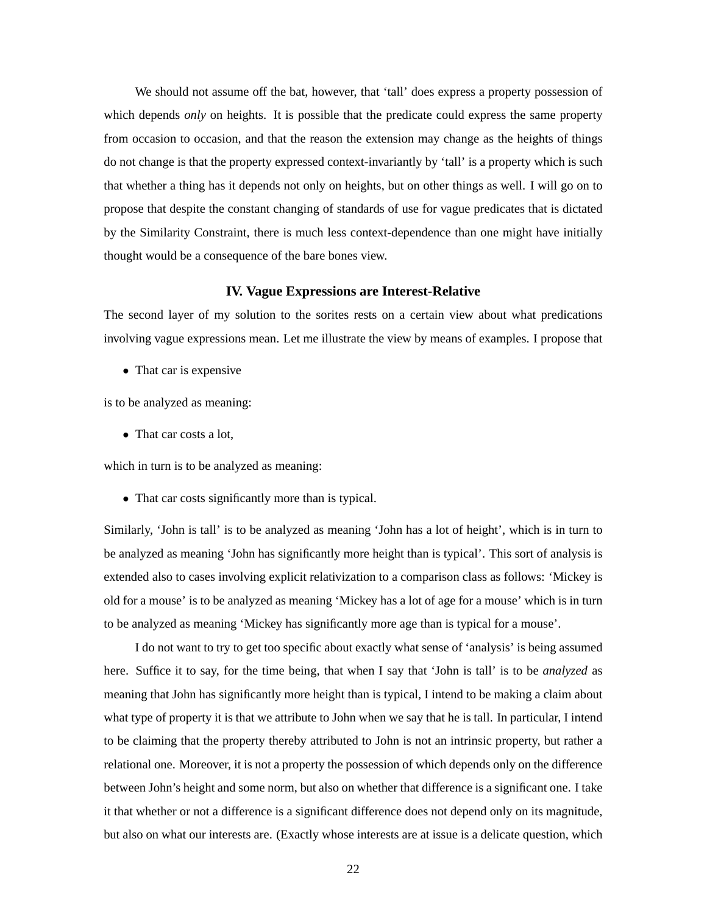We should not assume off the bat, however, that 'tall' does express a property possession of which depends *only* on heights. It is possible that the predicate could express the same property from occasion to occasion, and that the reason the extension may change as the heights of things do not change is that the property expressed context-invariantly by 'tall' is a property which is such that whether a thing has it depends not only on heights, but on other things as well. I will go on to propose that despite the constant changing of standards of use for vague predicates that is dictated by the Similarity Constraint, there is much less context-dependence than one might have initially thought would be a consequence of the bare bones view.

#### **IV. Vague Expressions are Interest-Relative**

The second layer of my solution to the sorites rests on a certain view about what predications involving vague expressions mean. Let me illustrate the view by means of examples. I propose that

• That car is expensive

is to be analyzed as meaning:

• That car costs a lot,

which in turn is to be analyzed as meaning:

• That car costs significantly more than is typical.

Similarly, 'John is tall' is to be analyzed as meaning 'John has a lot of height', which is in turn to be analyzed as meaning 'John has significantly more height than is typical'. This sort of analysis is extended also to cases involving explicit relativization to a comparison class as follows: 'Mickey is old for a mouse' is to be analyzed as meaning 'Mickey has a lot of age for a mouse' which is in turn to be analyzed as meaning 'Mickey has significantly more age than is typical for a mouse'.

I do not want to try to get too specific about exactly what sense of 'analysis' is being assumed here. Suffice it to say, for the time being, that when I say that 'John is tall' is to be *analyzed* as meaning that John has significantly more height than is typical, I intend to be making a claim about what type of property it is that we attribute to John when we say that he is tall. In particular, I intend to be claiming that the property thereby attributed to John is not an intrinsic property, but rather a relational one. Moreover, it is not a property the possession of which depends only on the difference between John's height and some norm, but also on whether that difference is a significant one. I take it that whether or not a difference is a significant difference does not depend only on its magnitude, but also on what our interests are. (Exactly whose interests are at issue is a delicate question, which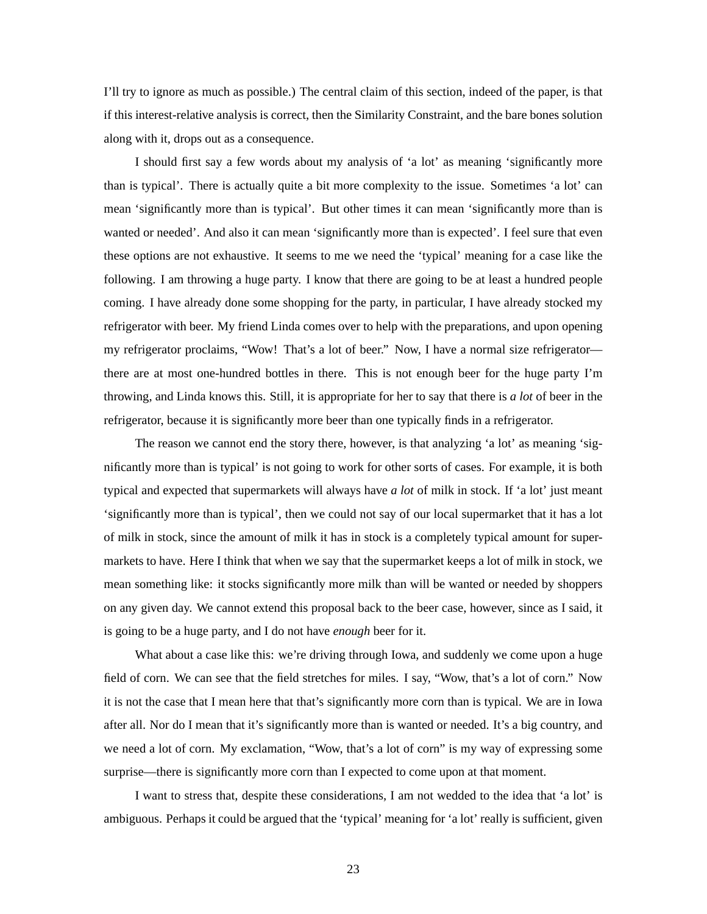I'll try to ignore as much as possible.) The central claim of this section, indeed of the paper, is that if this interest-relative analysis is correct, then the Similarity Constraint, and the bare bones solution along with it, drops out as a consequence.

I should first say a few words about my analysis of 'a lot' as meaning 'significantly more than is typical'. There is actually quite a bit more complexity to the issue. Sometimes 'a lot' can mean 'significantly more than is typical'. But other times it can mean 'significantly more than is wanted or needed'. And also it can mean 'significantly more than is expected'. I feel sure that even these options are not exhaustive. It seems to me we need the 'typical' meaning for a case like the following. I am throwing a huge party. I know that there are going to be at least a hundred people coming. I have already done some shopping for the party, in particular, I have already stocked my refrigerator with beer. My friend Linda comes over to help with the preparations, and upon opening my refrigerator proclaims, "Wow! That's a lot of beer." Now, I have a normal size refrigerator there are at most one-hundred bottles in there. This is not enough beer for the huge party I'm throwing, and Linda knows this. Still, it is appropriate for her to say that there is *a lot* of beer in the refrigerator, because it is significantly more beer than one typically finds in a refrigerator.

The reason we cannot end the story there, however, is that analyzing 'a lot' as meaning 'significantly more than is typical' is not going to work for other sorts of cases. For example, it is both typical and expected that supermarkets will always have *a lot* of milk in stock. If 'a lot' just meant 'significantly more than is typical', then we could not say of our local supermarket that it has a lot of milk in stock, since the amount of milk it has in stock is a completely typical amount for supermarkets to have. Here I think that when we say that the supermarket keeps a lot of milk in stock, we mean something like: it stocks significantly more milk than will be wanted or needed by shoppers on any given day. We cannot extend this proposal back to the beer case, however, since as I said, it is going to be a huge party, and I do not have *enough* beer for it.

What about a case like this: we're driving through Iowa, and suddenly we come upon a huge field of corn. We can see that the field stretches for miles. I say, "Wow, that's a lot of corn." Now it is not the case that I mean here that that's significantly more corn than is typical. We are in Iowa after all. Nor do I mean that it's significantly more than is wanted or needed. It's a big country, and we need a lot of corn. My exclamation, "Wow, that's a lot of corn" is my way of expressing some surprise—there is significantly more corn than I expected to come upon at that moment.

I want to stress that, despite these considerations, I am not wedded to the idea that 'a lot' is ambiguous. Perhaps it could be argued that the 'typical' meaning for 'a lot' really is sufficient, given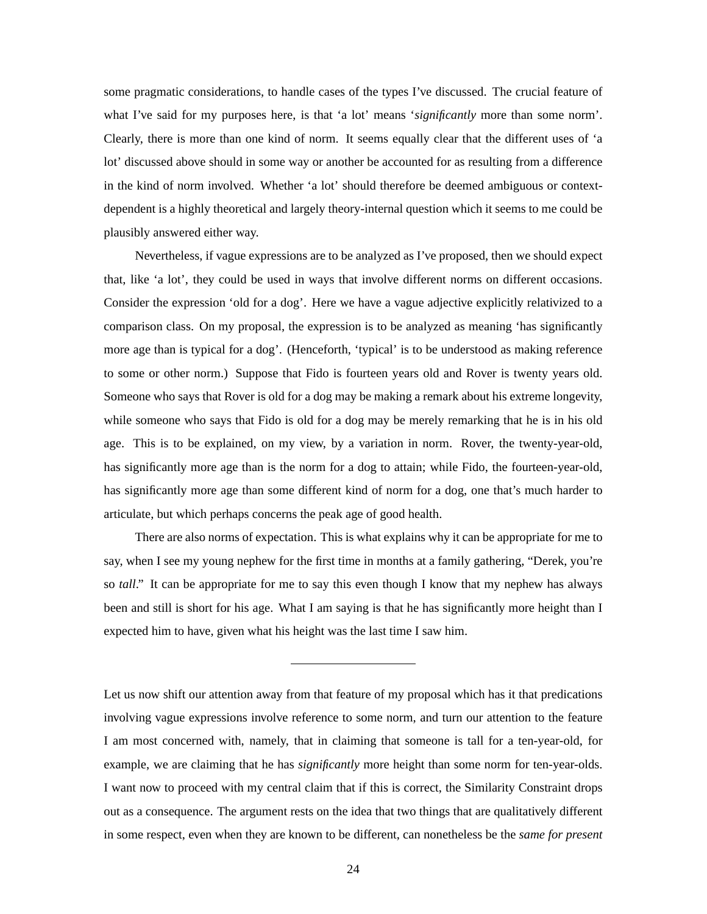some pragmatic considerations, to handle cases of the types I've discussed. The crucial feature of what I've said for my purposes here, is that 'a lot' means '*significantly* more than some norm'. Clearly, there is more than one kind of norm. It seems equally clear that the different uses of 'a lot' discussed above should in some way or another be accounted for as resulting from a difference in the kind of norm involved. Whether 'a lot' should therefore be deemed ambiguous or contextdependent is a highly theoretical and largely theory-internal question which it seems to me could be plausibly answered either way.

Nevertheless, if vague expressions are to be analyzed as I've proposed, then we should expect that, like 'a lot', they could be used in ways that involve different norms on different occasions. Consider the expression 'old for a dog'. Here we have a vague adjective explicitly relativized to a comparison class. On my proposal, the expression is to be analyzed as meaning 'has significantly more age than is typical for a dog'. (Henceforth, 'typical' is to be understood as making reference to some or other norm.) Suppose that Fido is fourteen years old and Rover is twenty years old. Someone who says that Rover is old for a dog may be making a remark about his extreme longevity, while someone who says that Fido is old for a dog may be merely remarking that he is in his old age. This is to be explained, on my view, by a variation in norm. Rover, the twenty-year-old, has significantly more age than is the norm for a dog to attain; while Fido, the fourteen-year-old, has significantly more age than some different kind of norm for a dog, one that's much harder to articulate, but which perhaps concerns the peak age of good health.

There are also norms of expectation. This is what explains why it can be appropriate for me to say, when I see my young nephew for the first time in months at a family gathering, "Derek, you're so *tall*." It can be appropriate for me to say this even though I know that my nephew has always been and still is short for his age. What I am saying is that he has significantly more height than I expected him to have, given what his height was the last time I saw him.

Let us now shift our attention away from that feature of my proposal which has it that predications involving vague expressions involve reference to some norm, and turn our attention to the feature I am most concerned with, namely, that in claiming that someone is tall for a ten-year-old, for example, we are claiming that he has *significantly* more height than some norm for ten-year-olds. I want now to proceed with my central claim that if this is correct, the Similarity Constraint drops out as a consequence. The argument rests on the idea that two things that are qualitatively different in some respect, even when they are known to be different, can nonetheless be the *same for present*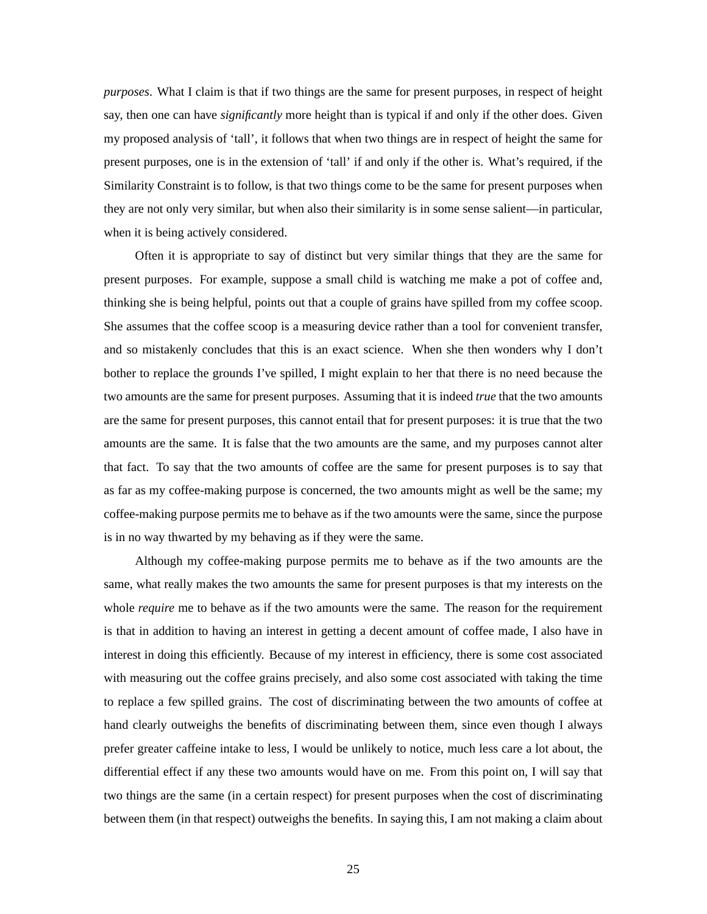*purposes*. What I claim is that if two things are the same for present purposes, in respect of height say, then one can have *significantly* more height than is typical if and only if the other does. Given my proposed analysis of 'tall', it follows that when two things are in respect of height the same for present purposes, one is in the extension of 'tall' if and only if the other is. What's required, if the Similarity Constraint is to follow, is that two things come to be the same for present purposes when they are not only very similar, but when also their similarity is in some sense salient—in particular, when it is being actively considered.

Often it is appropriate to say of distinct but very similar things that they are the same for present purposes. For example, suppose a small child is watching me make a pot of coffee and, thinking she is being helpful, points out that a couple of grains have spilled from my coffee scoop. She assumes that the coffee scoop is a measuring device rather than a tool for convenient transfer, and so mistakenly concludes that this is an exact science. When she then wonders why I don't bother to replace the grounds I've spilled, I might explain to her that there is no need because the two amounts are the same for present purposes. Assuming that it is indeed *true* that the two amounts are the same for present purposes, this cannot entail that for present purposes: it is true that the two amounts are the same. It is false that the two amounts are the same, and my purposes cannot alter that fact. To say that the two amounts of coffee are the same for present purposes is to say that as far as my coffee-making purpose is concerned, the two amounts might as well be the same; my coffee-making purpose permits me to behave as if the two amounts were the same, since the purpose is in no way thwarted by my behaving as if they were the same.

Although my coffee-making purpose permits me to behave as if the two amounts are the same, what really makes the two amounts the same for present purposes is that my interests on the whole *require* me to behave as if the two amounts were the same. The reason for the requirement is that in addition to having an interest in getting a decent amount of coffee made, I also have in interest in doing this efficiently. Because of my interest in efficiency, there is some cost associated with measuring out the coffee grains precisely, and also some cost associated with taking the time to replace a few spilled grains. The cost of discriminating between the two amounts of coffee at hand clearly outweighs the benefits of discriminating between them, since even though I always prefer greater caffeine intake to less, I would be unlikely to notice, much less care a lot about, the differential effect if any these two amounts would have on me. From this point on, I will say that two things are the same (in a certain respect) for present purposes when the cost of discriminating between them (in that respect) outweighs the benefits. In saying this, I am not making a claim about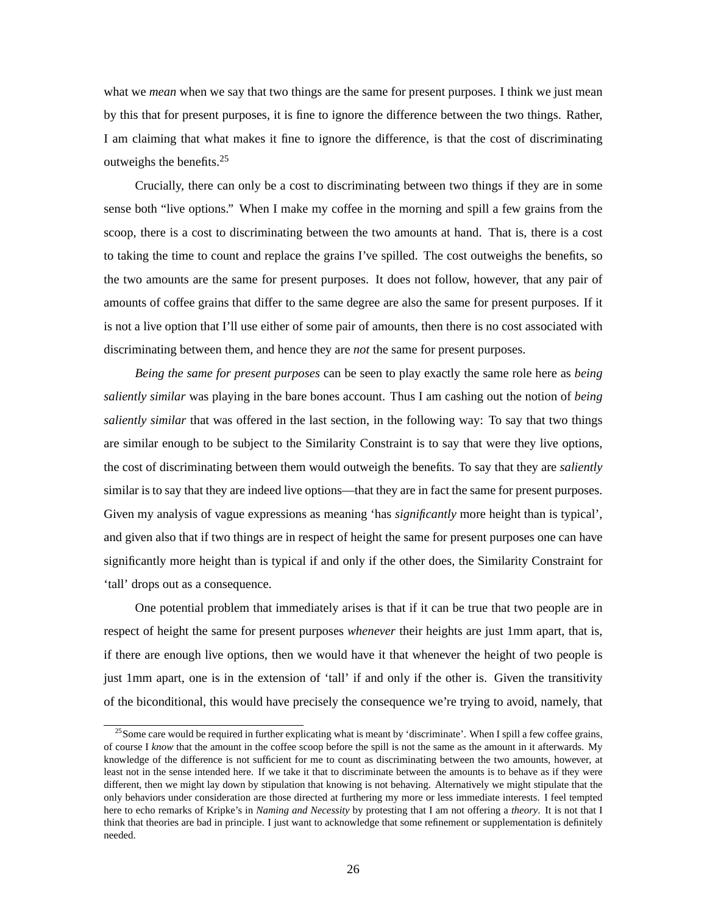what we *mean* when we say that two things are the same for present purposes. I think we just mean by this that for present purposes, it is fine to ignore the difference between the two things. Rather, I am claiming that what makes it fine to ignore the difference, is that the cost of discriminating outweighs the benefits. $25$ 

Crucially, there can only be a cost to discriminating between two things if they are in some sense both "live options." When I make my coffee in the morning and spill a few grains from the scoop, there is a cost to discriminating between the two amounts at hand. That is, there is a cost to taking the time to count and replace the grains I've spilled. The cost outweighs the benefits, so the two amounts are the same for present purposes. It does not follow, however, that any pair of amounts of coffee grains that differ to the same degree are also the same for present purposes. If it is not a live option that I'll use either of some pair of amounts, then there is no cost associated with discriminating between them, and hence they are *not* the same for present purposes.

*Being the same for present purposes* can be seen to play exactly the same role here as *being saliently similar* was playing in the bare bones account. Thus I am cashing out the notion of *being saliently similar* that was offered in the last section, in the following way: To say that two things are similar enough to be subject to the Similarity Constraint is to say that were they live options, the cost of discriminating between them would outweigh the benefits. To say that they are *saliently* similar is to say that they are indeed live options—that they are in fact the same for present purposes. Given my analysis of vague expressions as meaning 'has *significantly* more height than is typical', and given also that if two things are in respect of height the same for present purposes one can have significantly more height than is typical if and only if the other does, the Similarity Constraint for 'tall' drops out as a consequence.

One potential problem that immediately arises is that if it can be true that two people are in respect of height the same for present purposes *whenever* their heights are just 1mm apart, that is, if there are enough live options, then we would have it that whenever the height of two people is just 1mm apart, one is in the extension of 'tall' if and only if the other is. Given the transitivity of the biconditional, this would have precisely the consequence we're trying to avoid, namely, that

<sup>&</sup>lt;sup>25</sup>Some care would be required in further explicating what is meant by 'discriminate'. When I spill a few coffee grains, of course I *know* that the amount in the coffee scoop before the spill is not the same as the amount in it afterwards. My knowledge of the difference is not sufficient for me to count as discriminating between the two amounts, however, at least not in the sense intended here. If we take it that to discriminate between the amounts is to behave as if they were different, then we might lay down by stipulation that knowing is not behaving. Alternatively we might stipulate that the only behaviors under consideration are those directed at furthering my more or less immediate interests. I feel tempted here to echo remarks of Kripke's in *Naming and Necessity* by protesting that I am not offering a *theory*. It is not that I think that theories are bad in principle. I just want to acknowledge that some refinement or supplementation is definitely needed.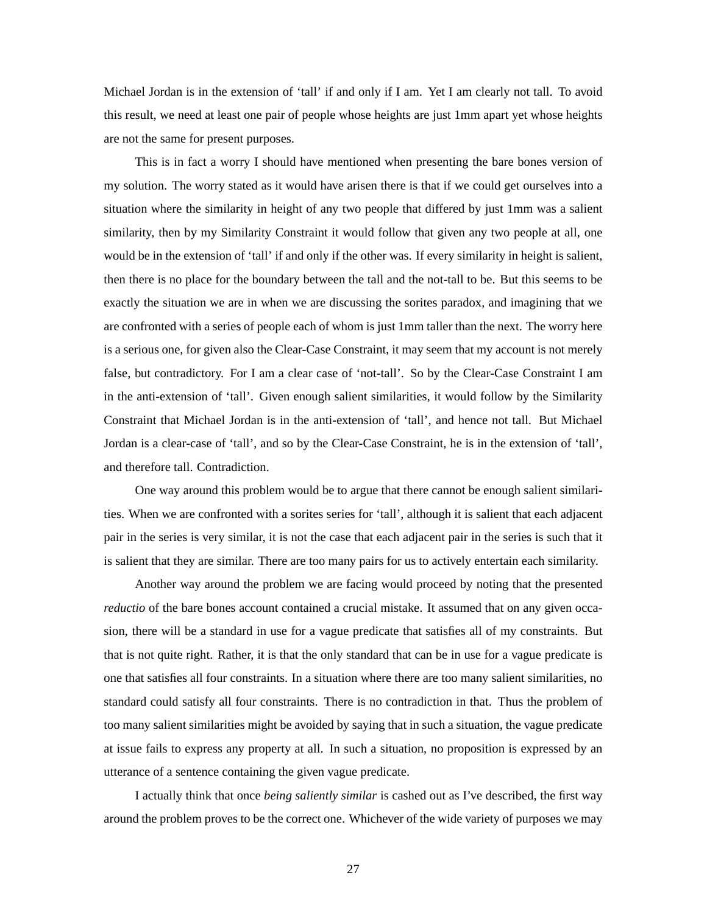Michael Jordan is in the extension of 'tall' if and only if I am. Yet I am clearly not tall. To avoid this result, we need at least one pair of people whose heights are just 1mm apart yet whose heights are not the same for present purposes.

This is in fact a worry I should have mentioned when presenting the bare bones version of my solution. The worry stated as it would have arisen there is that if we could get ourselves into a situation where the similarity in height of any two people that differed by just 1mm was a salient similarity, then by my Similarity Constraint it would follow that given any two people at all, one would be in the extension of 'tall' if and only if the other was. If every similarity in height is salient, then there is no place for the boundary between the tall and the not-tall to be. But this seems to be exactly the situation we are in when we are discussing the sorites paradox, and imagining that we are confronted with a series of people each of whom is just 1mm taller than the next. The worry here is a serious one, for given also the Clear-Case Constraint, it may seem that my account is not merely false, but contradictory. For I am a clear case of 'not-tall'. So by the Clear-Case Constraint I am in the anti-extension of 'tall'. Given enough salient similarities, it would follow by the Similarity Constraint that Michael Jordan is in the anti-extension of 'tall', and hence not tall. But Michael Jordan is a clear-case of 'tall', and so by the Clear-Case Constraint, he is in the extension of 'tall', and therefore tall. Contradiction.

One way around this problem would be to argue that there cannot be enough salient similarities. When we are confronted with a sorites series for 'tall', although it is salient that each adjacent pair in the series is very similar, it is not the case that each adjacent pair in the series is such that it is salient that they are similar. There are too many pairs for us to actively entertain each similarity.

Another way around the problem we are facing would proceed by noting that the presented *reductio* of the bare bones account contained a crucial mistake. It assumed that on any given occasion, there will be a standard in use for a vague predicate that satisfies all of my constraints. But that is not quite right. Rather, it is that the only standard that can be in use for a vague predicate is one that satisfies all four constraints. In a situation where there are too many salient similarities, no standard could satisfy all four constraints. There is no contradiction in that. Thus the problem of too many salient similarities might be avoided by saying that in such a situation, the vague predicate at issue fails to express any property at all. In such a situation, no proposition is expressed by an utterance of a sentence containing the given vague predicate.

I actually think that once *being saliently similar* is cashed out as I've described, the first way around the problem proves to be the correct one. Whichever of the wide variety of purposes we may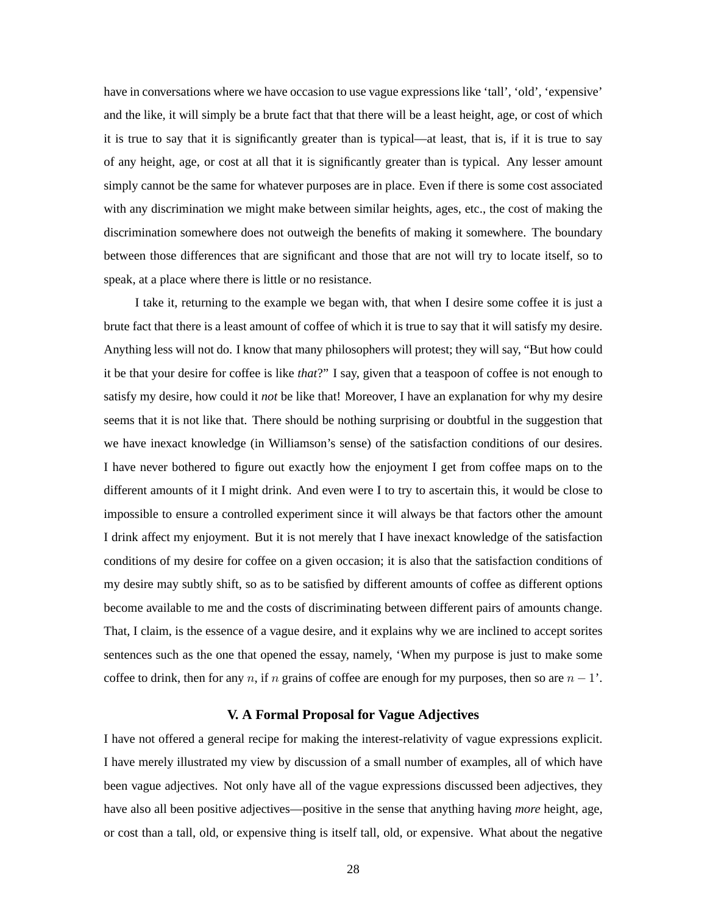have in conversations where we have occasion to use vague expressions like 'tall', 'old', 'expensive' and the like, it will simply be a brute fact that that there will be a least height, age, or cost of which it is true to say that it is significantly greater than is typical—at least, that is, if it is true to say of any height, age, or cost at all that it is significantly greater than is typical. Any lesser amount simply cannot be the same for whatever purposes are in place. Even if there is some cost associated with any discrimination we might make between similar heights, ages, etc., the cost of making the discrimination somewhere does not outweigh the benefits of making it somewhere. The boundary between those differences that are significant and those that are not will try to locate itself, so to speak, at a place where there is little or no resistance.

I take it, returning to the example we began with, that when I desire some coffee it is just a brute fact that there is a least amount of coffee of which it is true to say that it will satisfy my desire. Anything less will not do. I know that many philosophers will protest; they will say, "But how could it be that your desire for coffee is like *that*?" I say, given that a teaspoon of coffee is not enough to satisfy my desire, how could it *not* be like that! Moreover, I have an explanation for why my desire seems that it is not like that. There should be nothing surprising or doubtful in the suggestion that we have inexact knowledge (in Williamson's sense) of the satisfaction conditions of our desires. I have never bothered to figure out exactly how the enjoyment I get from coffee maps on to the different amounts of it I might drink. And even were I to try to ascertain this, it would be close to impossible to ensure a controlled experiment since it will always be that factors other the amount I drink affect my enjoyment. But it is not merely that I have inexact knowledge of the satisfaction conditions of my desire for coffee on a given occasion; it is also that the satisfaction conditions of my desire may subtly shift, so as to be satisfied by different amounts of coffee as different options become available to me and the costs of discriminating between different pairs of amounts change. That, I claim, is the essence of a vague desire, and it explains why we are inclined to accept sorites sentences such as the one that opened the essay, namely, 'When my purpose is just to make some coffee to drink, then for any n, if n grains of coffee are enough for my purposes, then so are  $n - 1'$ .

#### **V. A Formal Proposal for Vague Adjectives**

I have not offered a general recipe for making the interest-relativity of vague expressions explicit. I have merely illustrated my view by discussion of a small number of examples, all of which have been vague adjectives. Not only have all of the vague expressions discussed been adjectives, they have also all been positive adjectives—positive in the sense that anything having *more* height, age, or cost than a tall, old, or expensive thing is itself tall, old, or expensive. What about the negative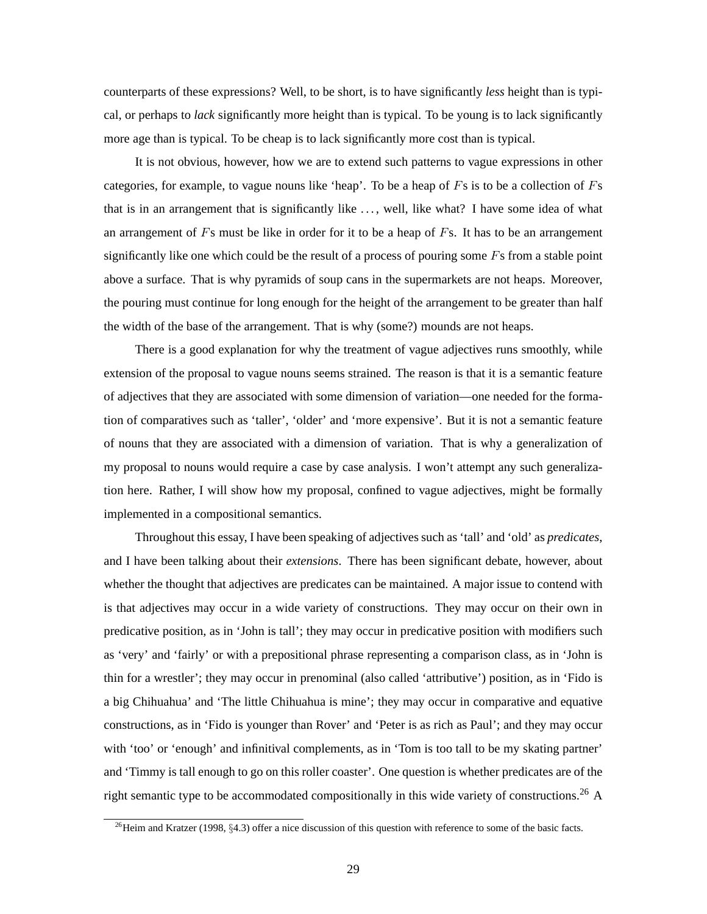counterparts of these expressions? Well, to be short, is to have significantly *less* height than is typical, or perhaps to *lack* significantly more height than is typical. To be young is to lack significantly more age than is typical. To be cheap is to lack significantly more cost than is typical.

It is not obvious, however, how we are to extend such patterns to vague expressions in other categories, for example, to vague nouns like 'heap'. To be a heap of  $Fs$  is to be a collection of  $Fs$ that is in an arrangement that is significantly like . . . , well, like what? I have some idea of what an arrangement of  $F<sub>S</sub>$  must be like in order for it to be a heap of  $F<sub>S</sub>$ . It has to be an arrangement significantly like one which could be the result of a process of pouring some  $F<sub>s</sub>$  from a stable point above a surface. That is why pyramids of soup cans in the supermarkets are not heaps. Moreover, the pouring must continue for long enough for the height of the arrangement to be greater than half the width of the base of the arrangement. That is why (some?) mounds are not heaps.

There is a good explanation for why the treatment of vague adjectives runs smoothly, while extension of the proposal to vague nouns seems strained. The reason is that it is a semantic feature of adjectives that they are associated with some dimension of variation—one needed for the formation of comparatives such as 'taller', 'older' and 'more expensive'. But it is not a semantic feature of nouns that they are associated with a dimension of variation. That is why a generalization of my proposal to nouns would require a case by case analysis. I won't attempt any such generalization here. Rather, I will show how my proposal, confined to vague adjectives, might be formally implemented in a compositional semantics.

Throughout this essay, I have been speaking of adjectives such as 'tall' and 'old' as *predicates*, and I have been talking about their *extensions*. There has been significant debate, however, about whether the thought that adjectives are predicates can be maintained. A major issue to contend with is that adjectives may occur in a wide variety of constructions. They may occur on their own in predicative position, as in 'John is tall'; they may occur in predicative position with modifiers such as 'very' and 'fairly' or with a prepositional phrase representing a comparison class, as in 'John is thin for a wrestler'; they may occur in prenominal (also called 'attributive') position, as in 'Fido is a big Chihuahua' and 'The little Chihuahua is mine'; they may occur in comparative and equative constructions, as in 'Fido is younger than Rover' and 'Peter is as rich as Paul'; and they may occur with 'too' or 'enough' and infinitival complements, as in 'Tom is too tall to be my skating partner' and 'Timmy is tall enough to go on this roller coaster'. One question is whether predicates are of the right semantic type to be accommodated compositionally in this wide variety of constructions.<sup>26</sup> A

<sup>&</sup>lt;sup>26</sup>Heim and Kratzer (1998, §4.3) offer a nice discussion of this question with reference to some of the basic facts.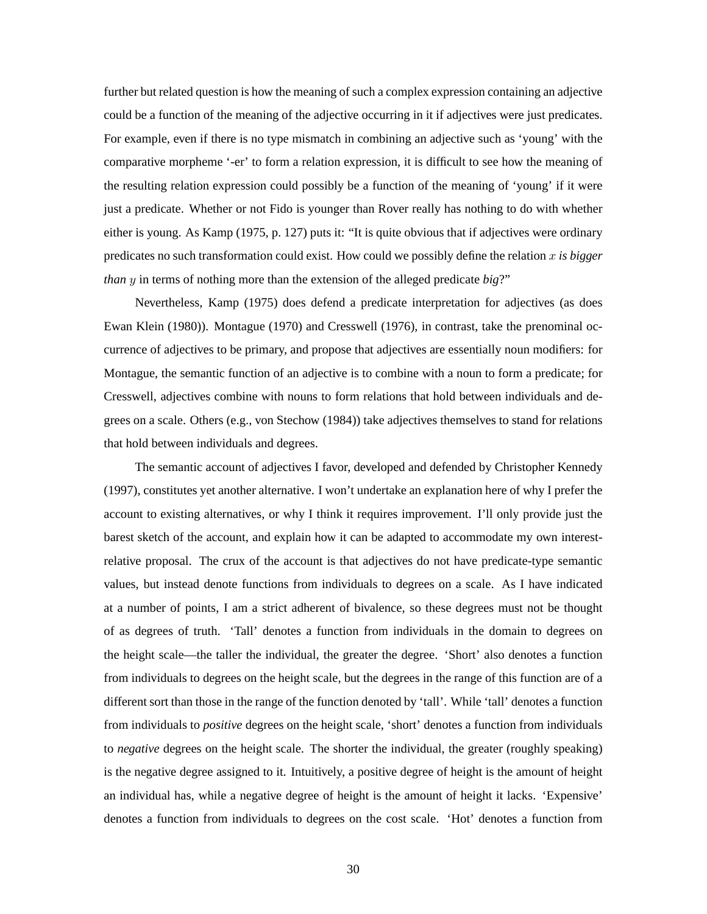further but related question is how the meaning of such a complex expression containing an adjective could be a function of the meaning of the adjective occurring in it if adjectives were just predicates. For example, even if there is no type mismatch in combining an adjective such as 'young' with the comparative morpheme '-er' to form a relation expression, it is difficult to see how the meaning of the resulting relation expression could possibly be a function of the meaning of 'young' if it were just a predicate. Whether or not Fido is younger than Rover really has nothing to do with whether either is young. As Kamp (1975, p. 127) puts it: "It is quite obvious that if adjectives were ordinary predicates no such transformation could exist. How could we possibly define the relation x *is bigger than* y in terms of nothing more than the extension of the alleged predicate *big*?"

Nevertheless, Kamp (1975) does defend a predicate interpretation for adjectives (as does Ewan Klein (1980)). Montague (1970) and Cresswell (1976), in contrast, take the prenominal occurrence of adjectives to be primary, and propose that adjectives are essentially noun modifiers: for Montague, the semantic function of an adjective is to combine with a noun to form a predicate; for Cresswell, adjectives combine with nouns to form relations that hold between individuals and degrees on a scale. Others (e.g., von Stechow (1984)) take adjectives themselves to stand for relations that hold between individuals and degrees.

The semantic account of adjectives I favor, developed and defended by Christopher Kennedy (1997), constitutes yet another alternative. I won't undertake an explanation here of why I prefer the account to existing alternatives, or why I think it requires improvement. I'll only provide just the barest sketch of the account, and explain how it can be adapted to accommodate my own interestrelative proposal. The crux of the account is that adjectives do not have predicate-type semantic values, but instead denote functions from individuals to degrees on a scale. As I have indicated at a number of points, I am a strict adherent of bivalence, so these degrees must not be thought of as degrees of truth. 'Tall' denotes a function from individuals in the domain to degrees on the height scale—the taller the individual, the greater the degree. 'Short' also denotes a function from individuals to degrees on the height scale, but the degrees in the range of this function are of a different sort than those in the range of the function denoted by 'tall'. While 'tall' denotes a function from individuals to *positive* degrees on the height scale, 'short' denotes a function from individuals to *negative* degrees on the height scale. The shorter the individual, the greater (roughly speaking) is the negative degree assigned to it. Intuitively, a positive degree of height is the amount of height an individual has, while a negative degree of height is the amount of height it lacks. 'Expensive' denotes a function from individuals to degrees on the cost scale. 'Hot' denotes a function from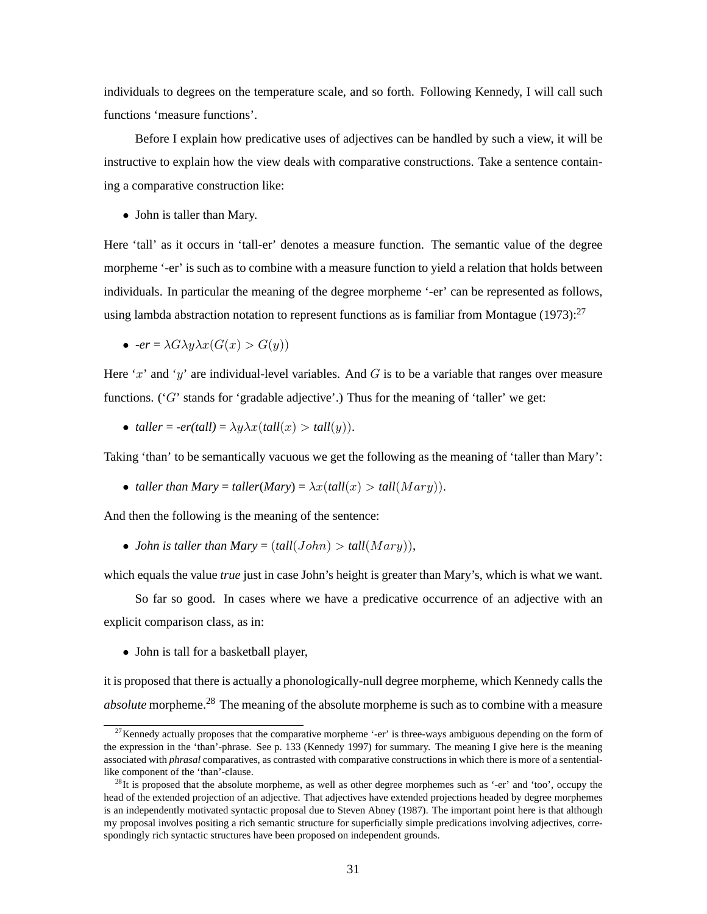individuals to degrees on the temperature scale, and so forth. Following Kennedy, I will call such functions 'measure functions'.

Before I explain how predicative uses of adjectives can be handled by such a view, it will be instructive to explain how the view deals with comparative constructions. Take a sentence containing a comparative construction like:

• John is taller than Mary.

Here 'tall' as it occurs in 'tall-er' denotes a measure function. The semantic value of the degree morpheme '-er' is such as to combine with a measure function to yield a relation that holds between individuals. In particular the meaning of the degree morpheme '-er' can be represented as follows, using lambda abstraction notation to represent functions as is familiar from Montague (1973):<sup>27</sup>

• 
$$
\bullet \quad \text{-}er = \lambda G \lambda y \lambda x (G(x) > G(y))
$$

Here 'x' and 'y' are individual-level variables. And G is to be a variable that ranges over measure functions. ( $'G'$  stands for 'gradable adjective'.) Thus for the meaning of 'taller' we get:

• *taller* =  $-er(tall) = \lambda y \lambda x(tall(x)) > tall(y)$ .

Taking 'than' to be semantically vacuous we get the following as the meaning of 'taller than Mary':

• *taller than Mary* = *taller*(*Mary*) =  $\lambda x$ (*tall*( $x$ ) > *tall*( $Mary$ )).

And then the following is the meaning of the sentence:

• *John is taller than Mary* =  $(tall(John) > tall(Mary)),$ 

which equals the value *true* just in case John's height is greater than Mary's, which is what we want.

So far so good. In cases where we have a predicative occurrence of an adjective with an explicit comparison class, as in:

• John is tall for a basketball player,

it is proposed that there is actually a phonologically-null degree morpheme, which Kennedy calls the *absolute* morpheme.<sup>28</sup> The meaning of the absolute morpheme is such as to combine with a measure

 $27$ Kennedy actually proposes that the comparative morpheme '-er' is three-ways ambiguous depending on the form of the expression in the 'than'-phrase. See p. 133 (Kennedy 1997) for summary. The meaning I give here is the meaning associated with *phrasal* comparatives, as contrasted with comparative constructions in which there is more of a sententiallike component of the 'than'-clause.

 $28$ It is proposed that the absolute morpheme, as well as other degree morphemes such as '-er' and 'too', occupy the head of the extended projection of an adjective. That adjectives have extended projections headed by degree morphemes is an independently motivated syntactic proposal due to Steven Abney (1987). The important point here is that although my proposal involves positing a rich semantic structure for superficially simple predications involving adjectives, correspondingly rich syntactic structures have been proposed on independent grounds.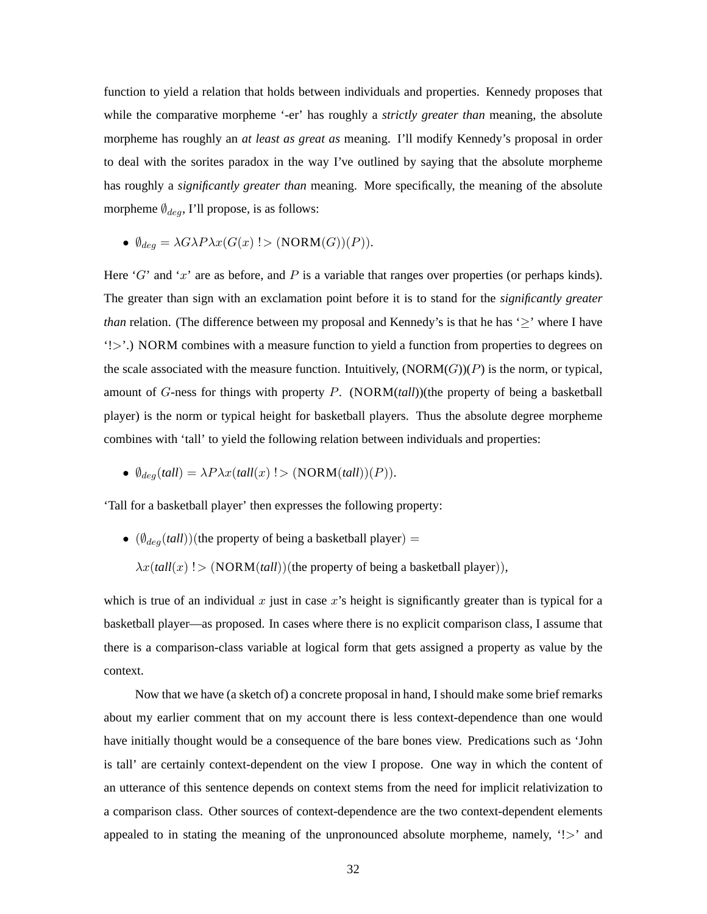function to yield a relation that holds between individuals and properties. Kennedy proposes that while the comparative morpheme '-er' has roughly a *strictly greater than* meaning, the absolute morpheme has roughly an *at least as great as* meaning. I'll modify Kennedy's proposal in order to deal with the sorites paradox in the way I've outlined by saying that the absolute morpheme has roughly a *significantly greater than* meaning. More specifically, the meaning of the absolute morpheme ∅*deg*, I'll propose, is as follows:

•  $\emptyset_{deg} = \lambda G \lambda P \lambda x (G(x) > (NORM(G))(P)).$ 

Here 'G' and 'x' are as before, and  $P$  is a variable that ranges over properties (or perhaps kinds). The greater than sign with an exclamation point before it is to stand for the *significantly greater than* relation. (The difference between my proposal and Kennedy's is that he has '≥' where I have '!>'.) NORM combines with a measure function to yield a function from properties to degrees on the scale associated with the measure function. Intuitively,  $(NORM(G))(P)$  is the norm, or typical, amount of G-ness for things with property P. (NORM(*tall*))(the property of being a basketball player) is the norm or typical height for basketball players. Thus the absolute degree morpheme combines with 'tall' to yield the following relation between individuals and properties:

•  $\emptyset_{deg}(tall) = \lambda P \lambda x(tall(x)!)$  (NORM $(tall)(P)$ ).

'Tall for a basketball player' then expresses the following property:

• (∅*deg*(*tall*))(the property of being a basketball player) =

 $\lambda x(tall(x)!)$  (NORM(*tall*))(the property of being a basketball player)),

which is true of an individual x just in case x's height is significantly greater than is typical for a basketball player—as proposed. In cases where there is no explicit comparison class, I assume that there is a comparison-class variable at logical form that gets assigned a property as value by the context.

Now that we have (a sketch of) a concrete proposal in hand, I should make some brief remarks about my earlier comment that on my account there is less context-dependence than one would have initially thought would be a consequence of the bare bones view. Predications such as 'John is tall' are certainly context-dependent on the view I propose. One way in which the content of an utterance of this sentence depends on context stems from the need for implicit relativization to a comparison class. Other sources of context-dependence are the two context-dependent elements appealed to in stating the meaning of the unpronounced absolute morpheme, namely,  $\leq$  and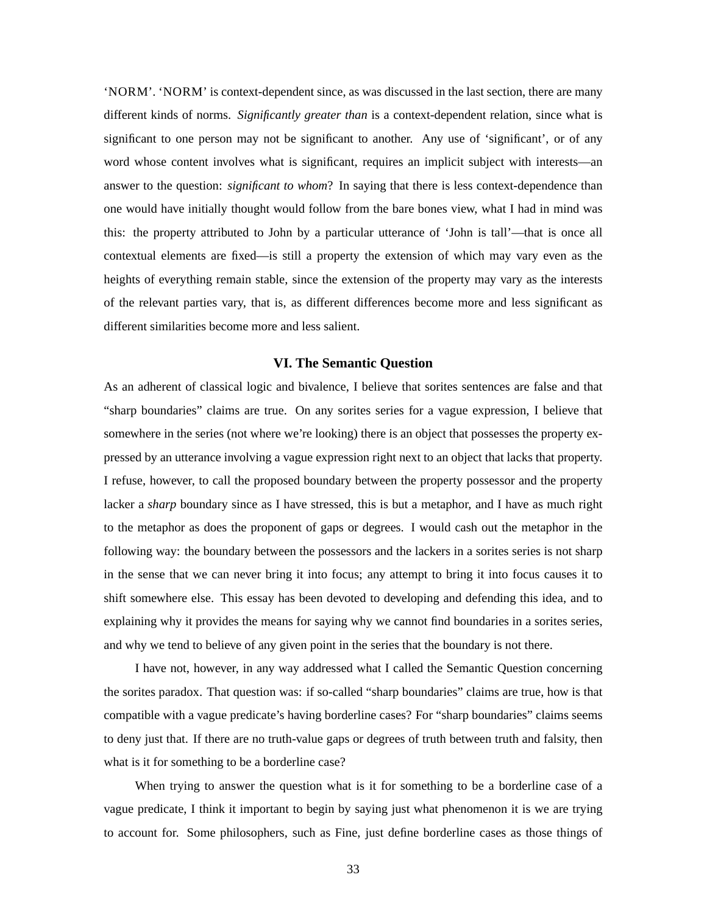'NORM'. 'NORM' is context-dependent since, as was discussed in the last section, there are many different kinds of norms. *Significantly greater than* is a context-dependent relation, since what is significant to one person may not be significant to another. Any use of 'significant', or of any word whose content involves what is significant, requires an implicit subject with interests—an answer to the question: *significant to whom*? In saying that there is less context-dependence than one would have initially thought would follow from the bare bones view, what I had in mind was this: the property attributed to John by a particular utterance of 'John is tall'—that is once all contextual elements are fixed—is still a property the extension of which may vary even as the heights of everything remain stable, since the extension of the property may vary as the interests of the relevant parties vary, that is, as different differences become more and less significant as different similarities become more and less salient.

## **VI. The Semantic Question**

As an adherent of classical logic and bivalence, I believe that sorites sentences are false and that "sharp boundaries" claims are true. On any sorites series for a vague expression, I believe that somewhere in the series (not where we're looking) there is an object that possesses the property expressed by an utterance involving a vague expression right next to an object that lacks that property. I refuse, however, to call the proposed boundary between the property possessor and the property lacker a *sharp* boundary since as I have stressed, this is but a metaphor, and I have as much right to the metaphor as does the proponent of gaps or degrees. I would cash out the metaphor in the following way: the boundary between the possessors and the lackers in a sorites series is not sharp in the sense that we can never bring it into focus; any attempt to bring it into focus causes it to shift somewhere else. This essay has been devoted to developing and defending this idea, and to explaining why it provides the means for saying why we cannot find boundaries in a sorites series, and why we tend to believe of any given point in the series that the boundary is not there.

I have not, however, in any way addressed what I called the Semantic Question concerning the sorites paradox. That question was: if so-called "sharp boundaries" claims are true, how is that compatible with a vague predicate's having borderline cases? For "sharp boundaries" claims seems to deny just that. If there are no truth-value gaps or degrees of truth between truth and falsity, then what is it for something to be a borderline case?

When trying to answer the question what is it for something to be a borderline case of a vague predicate, I think it important to begin by saying just what phenomenon it is we are trying to account for. Some philosophers, such as Fine, just define borderline cases as those things of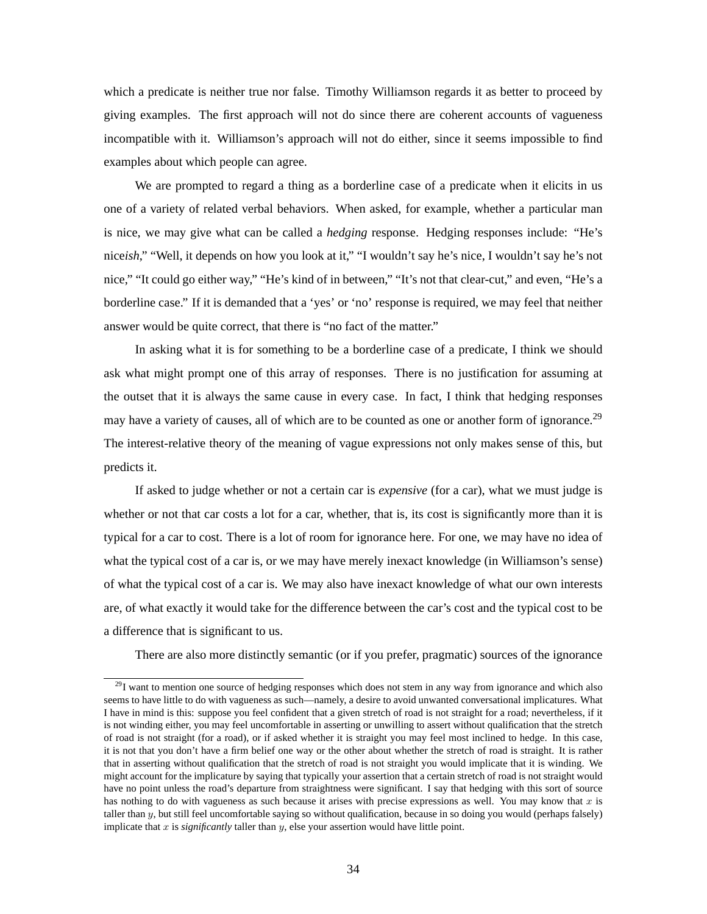which a predicate is neither true nor false. Timothy Williamson regards it as better to proceed by giving examples. The first approach will not do since there are coherent accounts of vagueness incompatible with it. Williamson's approach will not do either, since it seems impossible to find examples about which people can agree.

We are prompted to regard a thing as a borderline case of a predicate when it elicits in us one of a variety of related verbal behaviors. When asked, for example, whether a particular man is nice, we may give what can be called a *hedging* response. Hedging responses include: "He's nice*ish*," "Well, it depends on how you look at it," "I wouldn't say he's nice, I wouldn't say he's not nice," "It could go either way," "He's kind of in between," "It's not that clear-cut," and even, "He's a borderline case." If it is demanded that a 'yes' or 'no' response is required, we may feel that neither answer would be quite correct, that there is "no fact of the matter."

In asking what it is for something to be a borderline case of a predicate, I think we should ask what might prompt one of this array of responses. There is no justification for assuming at the outset that it is always the same cause in every case. In fact, I think that hedging responses may have a variety of causes, all of which are to be counted as one or another form of ignorance.<sup>29</sup> The interest-relative theory of the meaning of vague expressions not only makes sense of this, but predicts it.

If asked to judge whether or not a certain car is *expensive* (for a car), what we must judge is whether or not that car costs a lot for a car, whether, that is, its cost is significantly more than it is typical for a car to cost. There is a lot of room for ignorance here. For one, we may have no idea of what the typical cost of a car is, or we may have merely inexact knowledge (in Williamson's sense) of what the typical cost of a car is. We may also have inexact knowledge of what our own interests are, of what exactly it would take for the difference between the car's cost and the typical cost to be a difference that is significant to us.

There are also more distinctly semantic (or if you prefer, pragmatic) sources of the ignorance

 $^{29}$ I want to mention one source of hedging responses which does not stem in any way from ignorance and which also seems to have little to do with vagueness as such—namely, a desire to avoid unwanted conversational implicatures. What I have in mind is this: suppose you feel confident that a given stretch of road is not straight for a road; nevertheless, if it is not winding either, you may feel uncomfortable in asserting or unwilling to assert without qualification that the stretch of road is not straight (for a road), or if asked whether it is straight you may feel most inclined to hedge. In this case, it is not that you don't have a firm belief one way or the other about whether the stretch of road is straight. It is rather that in asserting without qualification that the stretch of road is not straight you would implicate that it is winding. We might account for the implicature by saying that typically your assertion that a certain stretch of road is not straight would have no point unless the road's departure from straightness were significant. I say that hedging with this sort of source has nothing to do with vagueness as such because it arises with precise expressions as well. You may know that *x* is taller than *y*, but still feel uncomfortable saying so without qualification, because in so doing you would (perhaps falsely) implicate that *x* is *significantly* taller than *y*, else your assertion would have little point.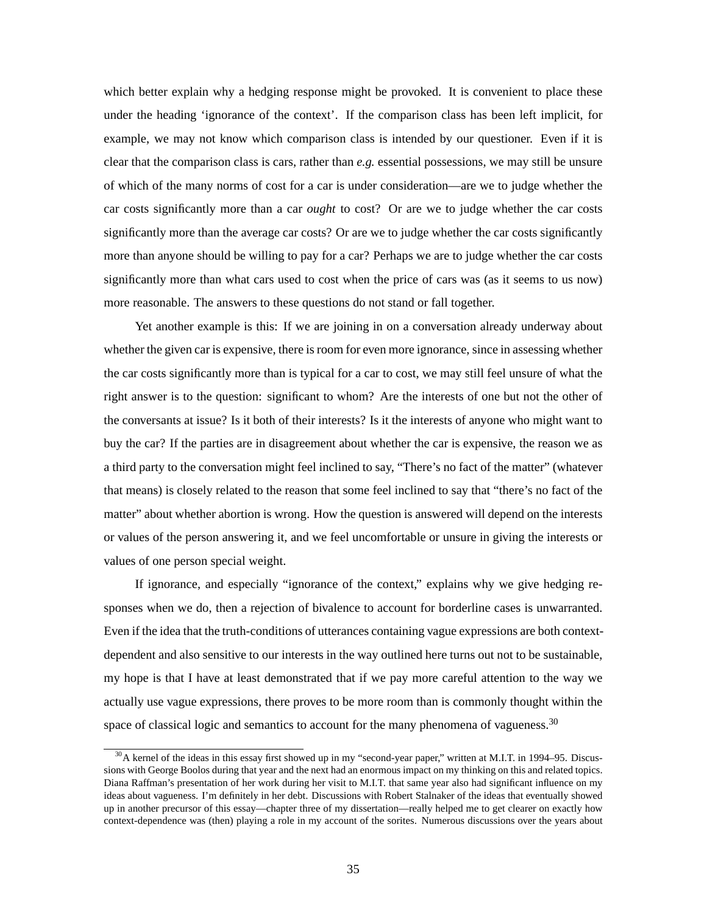which better explain why a hedging response might be provoked. It is convenient to place these under the heading 'ignorance of the context'. If the comparison class has been left implicit, for example, we may not know which comparison class is intended by our questioner. Even if it is clear that the comparison class is cars, rather than *e.g.* essential possessions, we may still be unsure of which of the many norms of cost for a car is under consideration—are we to judge whether the car costs significantly more than a car *ought* to cost? Or are we to judge whether the car costs significantly more than the average car costs? Or are we to judge whether the car costs significantly more than anyone should be willing to pay for a car? Perhaps we are to judge whether the car costs significantly more than what cars used to cost when the price of cars was (as it seems to us now) more reasonable. The answers to these questions do not stand or fall together.

Yet another example is this: If we are joining in on a conversation already underway about whether the given car is expensive, there is room for even more ignorance, since in assessing whether the car costs significantly more than is typical for a car to cost, we may still feel unsure of what the right answer is to the question: significant to whom? Are the interests of one but not the other of the conversants at issue? Is it both of their interests? Is it the interests of anyone who might want to buy the car? If the parties are in disagreement about whether the car is expensive, the reason we as a third party to the conversation might feel inclined to say, "There's no fact of the matter" (whatever that means) is closely related to the reason that some feel inclined to say that "there's no fact of the matter" about whether abortion is wrong. How the question is answered will depend on the interests or values of the person answering it, and we feel uncomfortable or unsure in giving the interests or values of one person special weight.

If ignorance, and especially "ignorance of the context," explains why we give hedging responses when we do, then a rejection of bivalence to account for borderline cases is unwarranted. Even if the idea that the truth-conditions of utterances containing vague expressions are both contextdependent and also sensitive to our interests in the way outlined here turns out not to be sustainable, my hope is that I have at least demonstrated that if we pay more careful attention to the way we actually use vague expressions, there proves to be more room than is commonly thought within the space of classical logic and semantics to account for the many phenomena of vagueness.<sup>30</sup>

 $30$ A kernel of the ideas in this essay first showed up in my "second-year paper," written at M.I.T. in 1994–95. Discussions with George Boolos during that year and the next had an enormous impact on my thinking on this and related topics. Diana Raffman's presentation of her work during her visit to M.I.T. that same year also had significant influence on my ideas about vagueness. I'm definitely in her debt. Discussions with Robert Stalnaker of the ideas that eventually showed up in another precursor of this essay—chapter three of my dissertation—really helped me to get clearer on exactly how context-dependence was (then) playing a role in my account of the sorites. Numerous discussions over the years about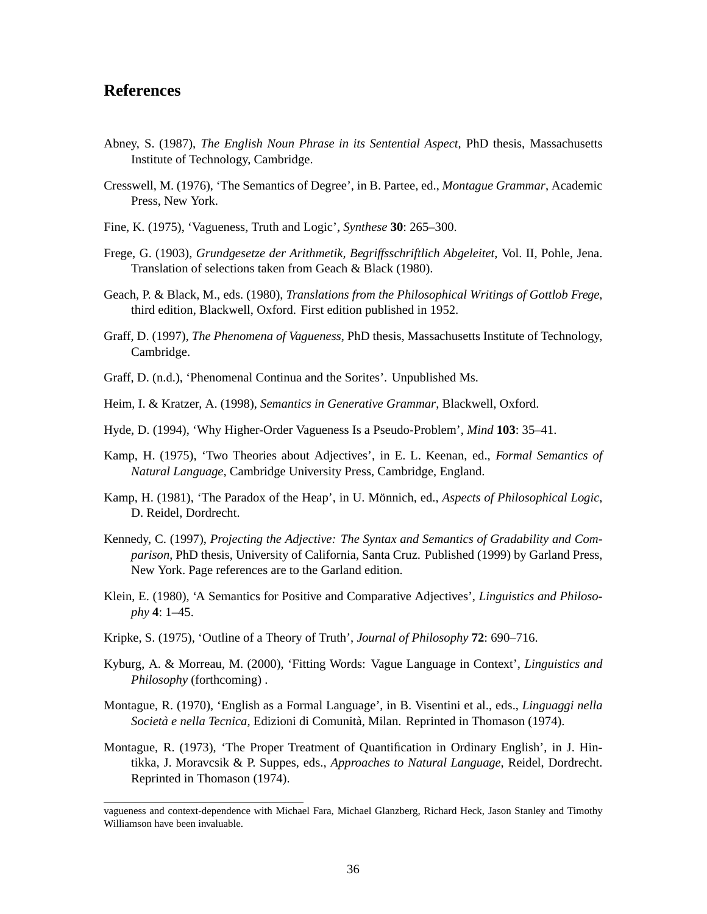# **References**

- Abney, S. (1987), *The English Noun Phrase in its Sentential Aspect*, PhD thesis, Massachusetts Institute of Technology, Cambridge.
- Cresswell, M. (1976), 'The Semantics of Degree', in B. Partee, ed., *Montague Grammar*, Academic Press, New York.
- Fine, K. (1975), 'Vagueness, Truth and Logic', *Synthese* **30**: 265–300.
- Frege, G. (1903), *Grundgesetze der Arithmetik, Begriffsschriftlich Abgeleitet*, Vol. II, Pohle, Jena. Translation of selections taken from Geach & Black (1980).
- Geach, P. & Black, M., eds. (1980), *Translations from the Philosophical Writings of Gottlob Frege*, third edition, Blackwell, Oxford. First edition published in 1952.
- Graff, D. (1997), *The Phenomena of Vagueness*, PhD thesis, Massachusetts Institute of Technology, Cambridge.
- Graff, D. (n.d.), 'Phenomenal Continua and the Sorites'. Unpublished Ms.
- Heim, I. & Kratzer, A. (1998), *Semantics in Generative Grammar*, Blackwell, Oxford.
- Hyde, D. (1994), 'Why Higher-Order Vagueness Is a Pseudo-Problem', *Mind* **103**: 35–41.
- Kamp, H. (1975), 'Two Theories about Adjectives', in E. L. Keenan, ed., *Formal Semantics of Natural Language*, Cambridge University Press, Cambridge, England.
- Kamp, H. (1981), 'The Paradox of the Heap', in U. Mönnich, ed., *Aspects of Philosophical Logic*, D. Reidel, Dordrecht.
- Kennedy, C. (1997), *Projecting the Adjective: The Syntax and Semantics of Gradability and Comparison*, PhD thesis, University of California, Santa Cruz. Published (1999) by Garland Press, New York. Page references are to the Garland edition.
- Klein, E. (1980), 'A Semantics for Positive and Comparative Adjectives', *Linguistics and Philosophy* **4**: 1–45.
- Kripke, S. (1975), 'Outline of a Theory of Truth', *Journal of Philosophy* **72**: 690–716.
- Kyburg, A. & Morreau, M. (2000), 'Fitting Words: Vague Language in Context', *Linguistics and Philosophy* (forthcoming) .
- Montague, R. (1970), 'English as a Formal Language', in B. Visentini et al., eds., *Linguaggi nella Societa e nella Tecnica `* , Edizioni di Comunita, Milan. Reprinted in Thomason (1974). `
- Montague, R. (1973), 'The Proper Treatment of Quantification in Ordinary English', in J. Hintikka, J. Moravcsik & P. Suppes, eds., *Approaches to Natural Language*, Reidel, Dordrecht. Reprinted in Thomason (1974).

vagueness and context-dependence with Michael Fara, Michael Glanzberg, Richard Heck, Jason Stanley and Timothy Williamson have been invaluable.